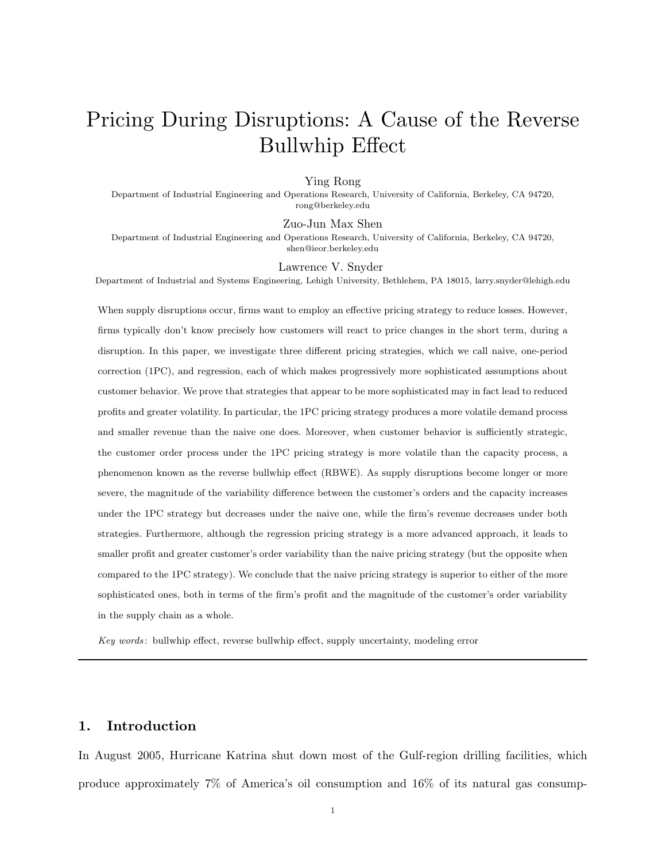# Pricing During Disruptions: A Cause of the Reverse Bullwhip Effect

#### Ying Rong

Department of Industrial Engineering and Operations Research, University of California, Berkeley, CA 94720, rong@berkeley.edu

Zuo-Jun Max Shen

Department of Industrial Engineering and Operations Research, University of California, Berkeley, CA 94720, shen@ieor.berkeley.edu

Lawrence V. Snyder

Department of Industrial and Systems Engineering, Lehigh University, Bethlehem, PA 18015, larry.snyder@lehigh.edu

When supply disruptions occur, firms want to employ an effective pricing strategy to reduce losses. However, firms typically don't know precisely how customers will react to price changes in the short term, during a disruption. In this paper, we investigate three different pricing strategies, which we call naive, one-period correction (1PC), and regression, each of which makes progressively more sophisticated assumptions about customer behavior. We prove that strategies that appear to be more sophisticated may in fact lead to reduced profits and greater volatility. In particular, the 1PC pricing strategy produces a more volatile demand process and smaller revenue than the naive one does. Moreover, when customer behavior is sufficiently strategic, the customer order process under the 1PC pricing strategy is more volatile than the capacity process, a phenomenon known as the reverse bullwhip effect (RBWE). As supply disruptions become longer or more severe, the magnitude of the variability difference between the customer's orders and the capacity increases under the 1PC strategy but decreases under the naive one, while the firm's revenue decreases under both strategies. Furthermore, although the regression pricing strategy is a more advanced approach, it leads to smaller profit and greater customer's order variability than the naive pricing strategy (but the opposite when compared to the 1PC strategy). We conclude that the naive pricing strategy is superior to either of the more sophisticated ones, both in terms of the firm's profit and the magnitude of the customer's order variability in the supply chain as a whole.

Key words : bullwhip effect, reverse bullwhip effect, supply uncertainty, modeling error

# 1. Introduction

In August 2005, Hurricane Katrina shut down most of the Gulf-region drilling facilities, which produce approximately 7% of America's oil consumption and 16% of its natural gas consump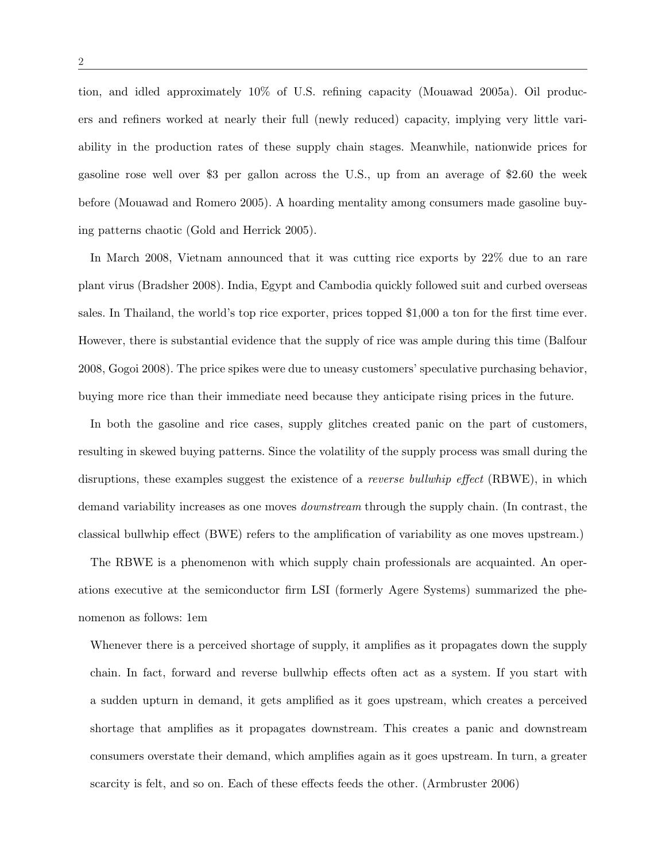tion, and idled approximately 10% of U.S. refining capacity (Mouawad 2005a). Oil producers and refiners worked at nearly their full (newly reduced) capacity, implying very little variability in the production rates of these supply chain stages. Meanwhile, nationwide prices for gasoline rose well over \$3 per gallon across the U.S., up from an average of \$2.60 the week before (Mouawad and Romero 2005). A hoarding mentality among consumers made gasoline buying patterns chaotic (Gold and Herrick 2005).

In March 2008, Vietnam announced that it was cutting rice exports by 22% due to an rare plant virus (Bradsher 2008). India, Egypt and Cambodia quickly followed suit and curbed overseas sales. In Thailand, the world's top rice exporter, prices topped \$1,000 a ton for the first time ever. However, there is substantial evidence that the supply of rice was ample during this time (Balfour 2008, Gogoi 2008). The price spikes were due to uneasy customers' speculative purchasing behavior, buying more rice than their immediate need because they anticipate rising prices in the future.

In both the gasoline and rice cases, supply glitches created panic on the part of customers, resulting in skewed buying patterns. Since the volatility of the supply process was small during the disruptions, these examples suggest the existence of a *reverse bullwhip effect* (RBWE), in which demand variability increases as one moves downstream through the supply chain. (In contrast, the classical bullwhip effect (BWE) refers to the amplification of variability as one moves upstream.)

The RBWE is a phenomenon with which supply chain professionals are acquainted. An operations executive at the semiconductor firm LSI (formerly Agere Systems) summarized the phenomenon as follows: 1em

Whenever there is a perceived shortage of supply, it amplifies as it propagates down the supply chain. In fact, forward and reverse bullwhip effects often act as a system. If you start with a sudden upturn in demand, it gets amplified as it goes upstream, which creates a perceived shortage that amplifies as it propagates downstream. This creates a panic and downstream consumers overstate their demand, which amplifies again as it goes upstream. In turn, a greater scarcity is felt, and so on. Each of these effects feeds the other. (Armbruster 2006)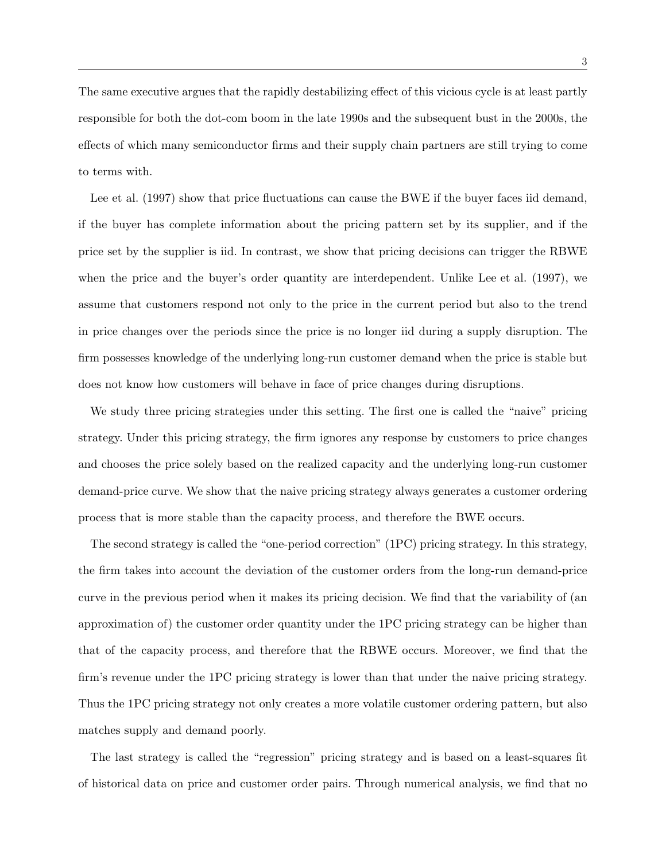The same executive argues that the rapidly destabilizing effect of this vicious cycle is at least partly responsible for both the dot-com boom in the late 1990s and the subsequent bust in the 2000s, the effects of which many semiconductor firms and their supply chain partners are still trying to come to terms with.

Lee et al. (1997) show that price fluctuations can cause the BWE if the buyer faces iid demand, if the buyer has complete information about the pricing pattern set by its supplier, and if the price set by the supplier is iid. In contrast, we show that pricing decisions can trigger the RBWE when the price and the buyer's order quantity are interdependent. Unlike Lee et al. (1997), we assume that customers respond not only to the price in the current period but also to the trend in price changes over the periods since the price is no longer iid during a supply disruption. The firm possesses knowledge of the underlying long-run customer demand when the price is stable but does not know how customers will behave in face of price changes during disruptions.

We study three pricing strategies under this setting. The first one is called the "naive" pricing strategy. Under this pricing strategy, the firm ignores any response by customers to price changes and chooses the price solely based on the realized capacity and the underlying long-run customer demand-price curve. We show that the naive pricing strategy always generates a customer ordering process that is more stable than the capacity process, and therefore the BWE occurs.

The second strategy is called the "one-period correction" (1PC) pricing strategy. In this strategy, the firm takes into account the deviation of the customer orders from the long-run demand-price curve in the previous period when it makes its pricing decision. We find that the variability of (an approximation of) the customer order quantity under the 1PC pricing strategy can be higher than that of the capacity process, and therefore that the RBWE occurs. Moreover, we find that the firm's revenue under the 1PC pricing strategy is lower than that under the naive pricing strategy. Thus the 1PC pricing strategy not only creates a more volatile customer ordering pattern, but also matches supply and demand poorly.

The last strategy is called the "regression" pricing strategy and is based on a least-squares fit of historical data on price and customer order pairs. Through numerical analysis, we find that no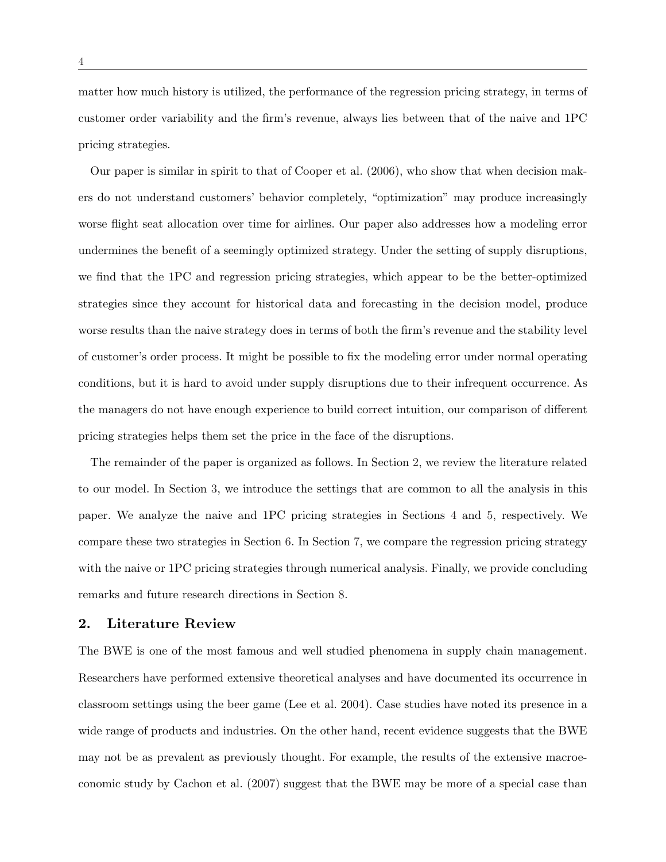matter how much history is utilized, the performance of the regression pricing strategy, in terms of customer order variability and the firm's revenue, always lies between that of the naive and 1PC pricing strategies.

Our paper is similar in spirit to that of Cooper et al. (2006), who show that when decision makers do not understand customers' behavior completely, "optimization" may produce increasingly worse flight seat allocation over time for airlines. Our paper also addresses how a modeling error undermines the benefit of a seemingly optimized strategy. Under the setting of supply disruptions, we find that the 1PC and regression pricing strategies, which appear to be the better-optimized strategies since they account for historical data and forecasting in the decision model, produce worse results than the naive strategy does in terms of both the firm's revenue and the stability level of customer's order process. It might be possible to fix the modeling error under normal operating conditions, but it is hard to avoid under supply disruptions due to their infrequent occurrence. As the managers do not have enough experience to build correct intuition, our comparison of different pricing strategies helps them set the price in the face of the disruptions.

The remainder of the paper is organized as follows. In Section 2, we review the literature related to our model. In Section 3, we introduce the settings that are common to all the analysis in this paper. We analyze the naive and 1PC pricing strategies in Sections 4 and 5, respectively. We compare these two strategies in Section 6. In Section 7, we compare the regression pricing strategy with the naive or 1PC pricing strategies through numerical analysis. Finally, we provide concluding remarks and future research directions in Section 8.

#### 2. Literature Review

The BWE is one of the most famous and well studied phenomena in supply chain management. Researchers have performed extensive theoretical analyses and have documented its occurrence in classroom settings using the beer game (Lee et al. 2004). Case studies have noted its presence in a wide range of products and industries. On the other hand, recent evidence suggests that the BWE may not be as prevalent as previously thought. For example, the results of the extensive macroeconomic study by Cachon et al. (2007) suggest that the BWE may be more of a special case than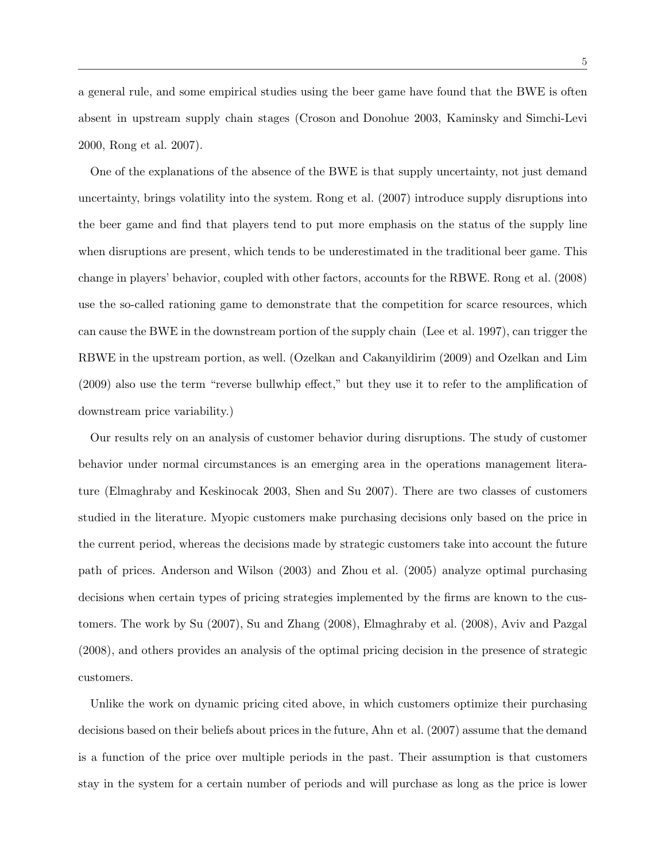a general rule, and some empirical studies using the beer game have found that the BWE is often absent in upstream supply chain stages (Croson and Donohue 2003, Kaminsky and Simchi-Levi 2000, Rong et al. 2007).

One of the explanations of the absence of the BWE is that supply uncertainty, not just demand uncertainty, brings volatility into the system. Rong et al. (2007) introduce supply disruptions into the beer game and find that players tend to put more emphasis on the status of the supply line when disruptions are present, which tends to be underestimated in the traditional beer game. This change in players' behavior, coupled with other factors, accounts for the RBWE. Rong et al. (2008) use the so-called rationing game to demonstrate that the competition for scarce resources, which can cause the BWE in the downstream portion of the supply chain (Lee et al. 1997), can trigger the RBWE in the upstream portion, as well. (Ozelkan and Cakanyildirim (2009) and Ozelkan and Lim (2009) also use the term "reverse bullwhip effect," but they use it to refer to the amplification of downstream price variability.)

Our results rely on an analysis of customer behavior during disruptions. The study of customer behavior under normal circumstances is an emerging area in the operations management literature (Elmaghraby and Keskinocak 2003, Shen and Su 2007). There are two classes of customers studied in the literature. Myopic customers make purchasing decisions only based on the price in the current period, whereas the decisions made by strategic customers take into account the future path of prices. Anderson and Wilson (2003) and Zhou et al. (2005) analyze optimal purchasing decisions when certain types of pricing strategies implemented by the firms are known to the customers. The work by Su (2007), Su and Zhang (2008), Elmaghraby et al. (2008), Aviv and Pazgal (2008), and others provides an analysis of the optimal pricing decision in the presence of strategic customers.

Unlike the work on dynamic pricing cited above, in which customers optimize their purchasing decisions based on their beliefs about prices in the future, Ahn et al. (2007) assume that the demand is a function of the price over multiple periods in the past. Their assumption is that customers stay in the system for a certain number of periods and will purchase as long as the price is lower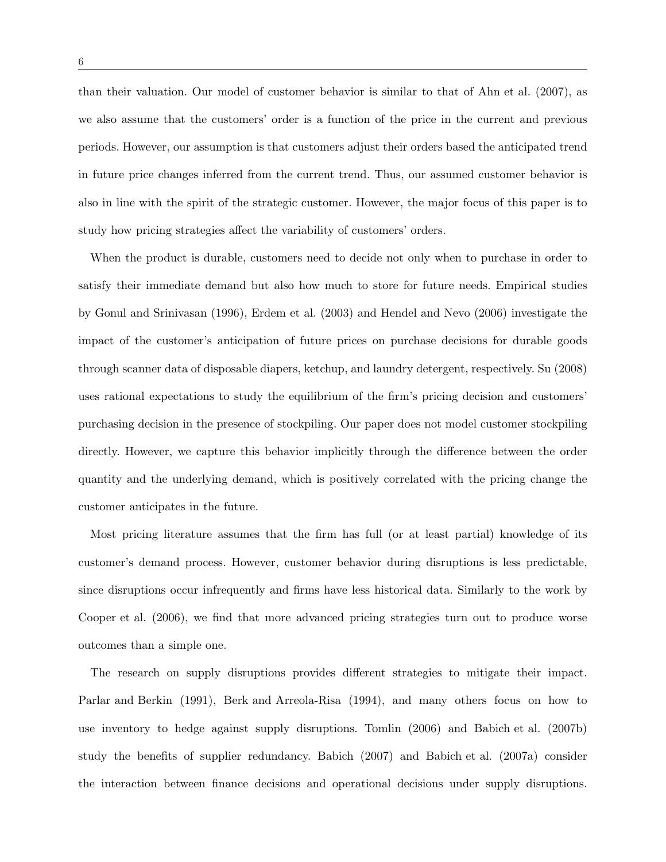than their valuation. Our model of customer behavior is similar to that of Ahn et al. (2007), as we also assume that the customers' order is a function of the price in the current and previous periods. However, our assumption is that customers adjust their orders based the anticipated trend in future price changes inferred from the current trend. Thus, our assumed customer behavior is also in line with the spirit of the strategic customer. However, the major focus of this paper is to study how pricing strategies affect the variability of customers' orders.

When the product is durable, customers need to decide not only when to purchase in order to satisfy their immediate demand but also how much to store for future needs. Empirical studies by Gonul and Srinivasan (1996), Erdem et al. (2003) and Hendel and Nevo (2006) investigate the impact of the customer's anticipation of future prices on purchase decisions for durable goods through scanner data of disposable diapers, ketchup, and laundry detergent, respectively. Su (2008) uses rational expectations to study the equilibrium of the firm's pricing decision and customers' purchasing decision in the presence of stockpiling. Our paper does not model customer stockpiling directly. However, we capture this behavior implicitly through the difference between the order quantity and the underlying demand, which is positively correlated with the pricing change the customer anticipates in the future.

Most pricing literature assumes that the firm has full (or at least partial) knowledge of its customer's demand process. However, customer behavior during disruptions is less predictable, since disruptions occur infrequently and firms have less historical data. Similarly to the work by Cooper et al. (2006), we find that more advanced pricing strategies turn out to produce worse outcomes than a simple one.

The research on supply disruptions provides different strategies to mitigate their impact. Parlar and Berkin (1991), Berk and Arreola-Risa (1994), and many others focus on how to use inventory to hedge against supply disruptions. Tomlin (2006) and Babich et al. (2007b) study the benefits of supplier redundancy. Babich (2007) and Babich et al. (2007a) consider the interaction between finance decisions and operational decisions under supply disruptions.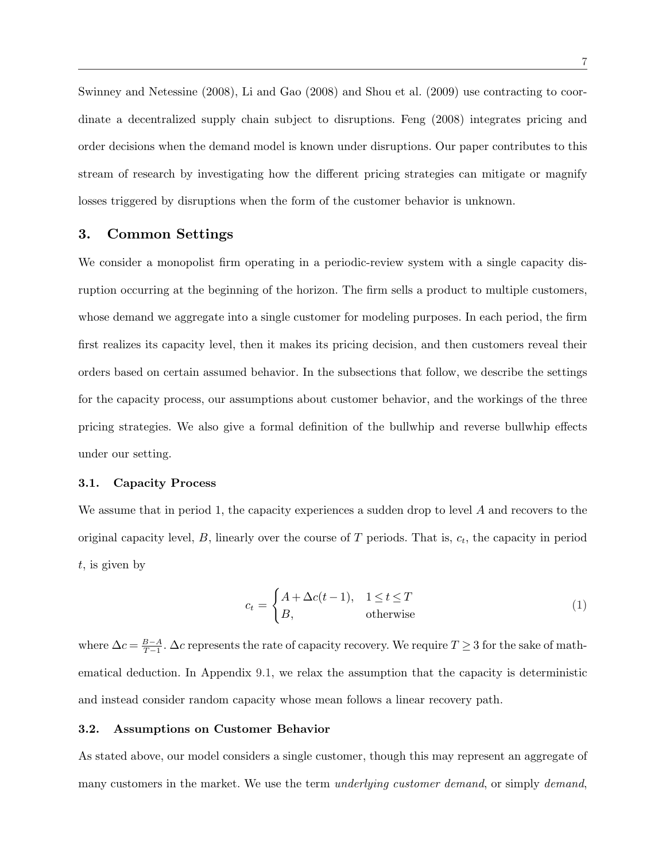Swinney and Netessine (2008), Li and Gao (2008) and Shou et al. (2009) use contracting to coordinate a decentralized supply chain subject to disruptions. Feng (2008) integrates pricing and order decisions when the demand model is known under disruptions. Our paper contributes to this stream of research by investigating how the different pricing strategies can mitigate or magnify losses triggered by disruptions when the form of the customer behavior is unknown.

# 3. Common Settings

We consider a monopolist firm operating in a periodic-review system with a single capacity disruption occurring at the beginning of the horizon. The firm sells a product to multiple customers, whose demand we aggregate into a single customer for modeling purposes. In each period, the firm first realizes its capacity level, then it makes its pricing decision, and then customers reveal their orders based on certain assumed behavior. In the subsections that follow, we describe the settings for the capacity process, our assumptions about customer behavior, and the workings of the three pricing strategies. We also give a formal definition of the bullwhip and reverse bullwhip effects under our setting.

#### 3.1. Capacity Process

We assume that in period 1, the capacity experiences a sudden drop to level  $A$  and recovers to the original capacity level,  $B$ , linearly over the course of  $T$  periods. That is,  $c_t$ , the capacity in period t, is given by

$$
c_t = \begin{cases} A + \Delta c(t-1), & 1 \le t \le T \\ B, & \text{otherwise} \end{cases}
$$
 (1)

where  $\Delta c = \frac{B-A}{T-1}$  $\frac{B-A}{T-1}$ .  $\Delta c$  represents the rate of capacity recovery. We require  $T \geq 3$  for the sake of mathematical deduction. In Appendix 9.1, we relax the assumption that the capacity is deterministic and instead consider random capacity whose mean follows a linear recovery path.

#### 3.2. Assumptions on Customer Behavior

As stated above, our model considers a single customer, though this may represent an aggregate of many customers in the market. We use the term *underlying customer demand*, or simply *demand*,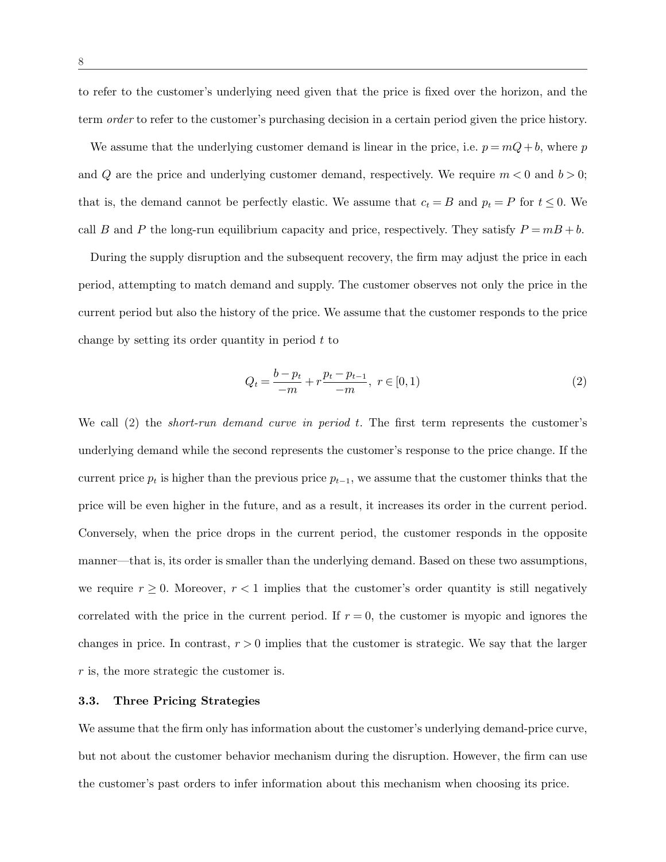to refer to the customer's underlying need given that the price is fixed over the horizon, and the term *order* to refer to the customer's purchasing decision in a certain period given the price history.

We assume that the underlying customer demand is linear in the price, i.e.  $p = mQ + b$ , where p and Q are the price and underlying customer demand, respectively. We require  $m < 0$  and  $b > 0$ ; that is, the demand cannot be perfectly elastic. We assume that  $c_t = B$  and  $p_t = P$  for  $t \leq 0$ . We call B and P the long-run equilibrium capacity and price, respectively. They satisfy  $P = mB + b$ .

During the supply disruption and the subsequent recovery, the firm may adjust the price in each period, attempting to match demand and supply. The customer observes not only the price in the current period but also the history of the price. We assume that the customer responds to the price change by setting its order quantity in period  $t$  to

$$
Q_t = \frac{b - p_t}{-m} + r \frac{p_t - p_{t-1}}{-m}, \ r \in [0, 1)
$$
\n<sup>(2)</sup>

We call  $(2)$  the *short-run demand curve in period t*. The first term represents the customer's underlying demand while the second represents the customer's response to the price change. If the current price  $p_t$  is higher than the previous price  $p_{t-1}$ , we assume that the customer thinks that the price will be even higher in the future, and as a result, it increases its order in the current period. Conversely, when the price drops in the current period, the customer responds in the opposite manner—that is, its order is smaller than the underlying demand. Based on these two assumptions, we require  $r \geq 0$ . Moreover,  $r < 1$  implies that the customer's order quantity is still negatively correlated with the price in the current period. If  $r = 0$ , the customer is myopic and ignores the changes in price. In contrast,  $r > 0$  implies that the customer is strategic. We say that the larger r is, the more strategic the customer is.

#### 3.3. Three Pricing Strategies

We assume that the firm only has information about the customer's underlying demand-price curve, but not about the customer behavior mechanism during the disruption. However, the firm can use the customer's past orders to infer information about this mechanism when choosing its price.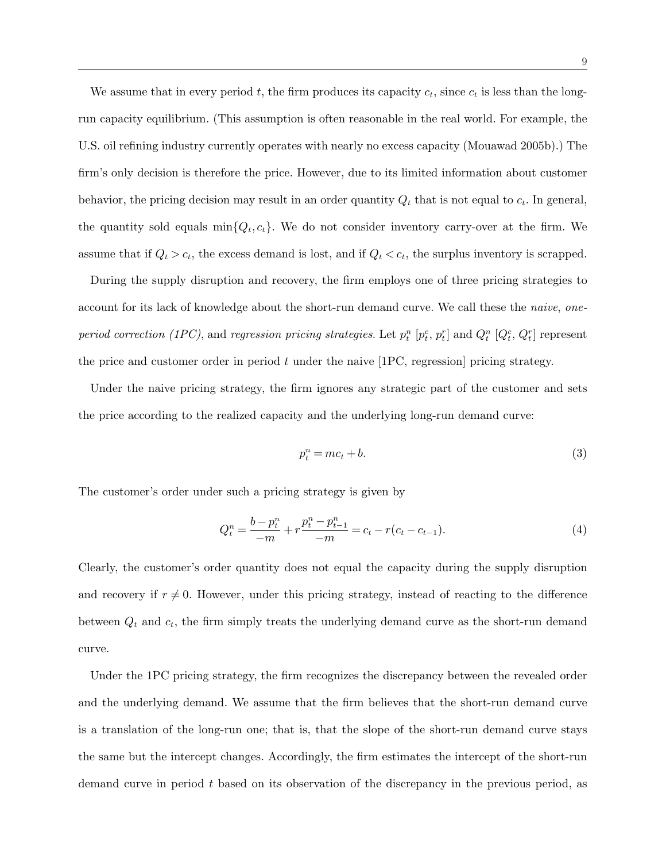We assume that in every period t, the firm produces its capacity  $c_t$ , since  $c_t$  is less than the longrun capacity equilibrium. (This assumption is often reasonable in the real world. For example, the U.S. oil refining industry currently operates with nearly no excess capacity (Mouawad 2005b).) The firm's only decision is therefore the price. However, due to its limited information about customer behavior, the pricing decision may result in an order quantity  $Q_t$  that is not equal to  $c_t$ . In general, the quantity sold equals  $\min\{Q_t, c_t\}$ . We do not consider inventory carry-over at the firm. We assume that if  $Q_t > c_t$ , the excess demand is lost, and if  $Q_t < c_t$ , the surplus inventory is scrapped.

During the supply disruption and recovery, the firm employs one of three pricing strategies to account for its lack of knowledge about the short-run demand curve. We call these the *naive*, *one*period correction (1PC), and regression pricing strategies. Let  $p_t^n$  [ $p_t^c$ ,  $p_t^r$ ] and  $Q_t^n$  [ $Q_t^c$ ,  $Q_t^r$ ] represent the price and customer order in period  $t$  under the naive [1PC, regression] pricing strategy.

Under the naive pricing strategy, the firm ignores any strategic part of the customer and sets the price according to the realized capacity and the underlying long-run demand curve:

$$
p_t^n = mc_t + b.\tag{3}
$$

The customer's order under such a pricing strategy is given by

$$
Q_t^n = \frac{b - p_t^n}{-m} + r \frac{p_t^n - p_{t-1}^n}{-m} = c_t - r(c_t - c_{t-1}).
$$
\n(4)

Clearly, the customer's order quantity does not equal the capacity during the supply disruption and recovery if  $r \neq 0$ . However, under this pricing strategy, instead of reacting to the difference between  $Q_t$  and  $c_t$ , the firm simply treats the underlying demand curve as the short-run demand curve.

Under the 1PC pricing strategy, the firm recognizes the discrepancy between the revealed order and the underlying demand. We assume that the firm believes that the short-run demand curve is a translation of the long-run one; that is, that the slope of the short-run demand curve stays the same but the intercept changes. Accordingly, the firm estimates the intercept of the short-run demand curve in period t based on its observation of the discrepancy in the previous period, as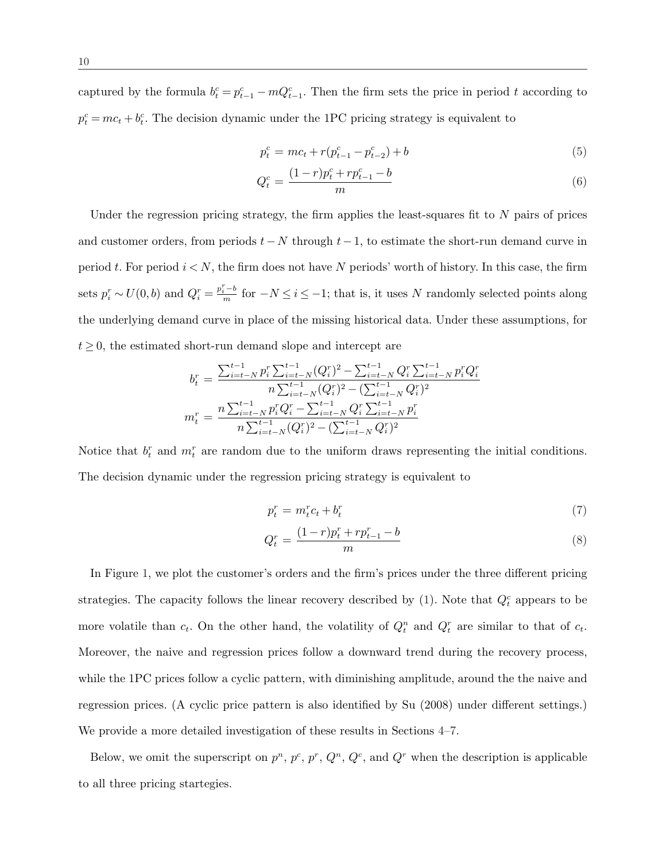captured by the formula  $b_t^c = p_{t-1}^c - mQ_{t-1}^c$ . Then the firm sets the price in period t according to  $p_t^c = mc_t + b_t^c$ . The decision dynamic under the 1PC pricing strategy is equivalent to

$$
p_t^c = mc_t + r(p_{t-1}^c - p_{t-2}^c) + b \tag{5}
$$

$$
Q_t^c = \frac{(1-r)p_t^c + rp_{t-1}^c - b}{m} \tag{6}
$$

Under the regression pricing strategy, the firm applies the least-squares fit to  $N$  pairs of prices and customer orders, from periods  $t - N$  through  $t-1$ , to estimate the short-run demand curve in period t. For period  $i < N$ , the firm does not have N periods' worth of history. In this case, the firm sets  $p_i^r \sim U(0, b)$  and  $Q_i^r = \frac{p_i^r - b}{m}$  for  $-N \le i \le -1$ ; that is, it uses N randomly selected points along the underlying demand curve in place of the missing historical data. Under these assumptions, for  $t \geq 0$ , the estimated short-run demand slope and intercept are

$$
b_t^r = \frac{\sum_{i=t-N}^{t-1} p_i^r \sum_{i=t-N}^{t-1} (Q_i^r)^2 - \sum_{i=t-N}^{t-1} Q_i^r \sum_{i=t-N}^{t-1} p_i^r Q_i^r}{n \sum_{i=t-N}^{t-1} (Q_i^r)^2 - (\sum_{i=t-N}^{t-1} Q_i^r)^2}
$$

$$
m_t^r = \frac{n \sum_{i=t-N}^{t-1} p_i^r Q_i^r - \sum_{i=t-N}^{t-1} Q_i^r \sum_{i=t-N}^{t-1} p_i^r}{n \sum_{i=t-N}^{t-1} (Q_i^r)^2 - (\sum_{i=t-N}^{t-1} Q_i^r)^2}
$$

Notice that  $b_t^r$  and  $m_t^r$  are random due to the uniform draws representing the initial conditions. The decision dynamic under the regression pricing strategy is equivalent to

$$
p_t^r = m_t^r c_t + b_t^r \tag{7}
$$

$$
Q_t^r = \frac{(1-r)p_t^r + rp_{t-1}^r - b}{m} \tag{8}
$$

In Figure 1, we plot the customer's orders and the firm's prices under the three different pricing strategies. The capacity follows the linear recovery described by (1). Note that  $Q_t^c$  appears to be more volatile than  $c_t$ . On the other hand, the volatility of  $Q_t^n$  and  $Q_t^r$  are similar to that of  $c_t$ . Moreover, the naive and regression prices follow a downward trend during the recovery process, while the 1PC prices follow a cyclic pattern, with diminishing amplitude, around the the naive and regression prices. (A cyclic price pattern is also identified by Su (2008) under different settings.) We provide a more detailed investigation of these results in Sections 4–7.

Below, we omit the superscript on  $p^n$ ,  $p^c$ ,  $p^r$ ,  $Q^n$ ,  $Q^c$ , and  $Q^r$  when the description is applicable to all three pricing startegies.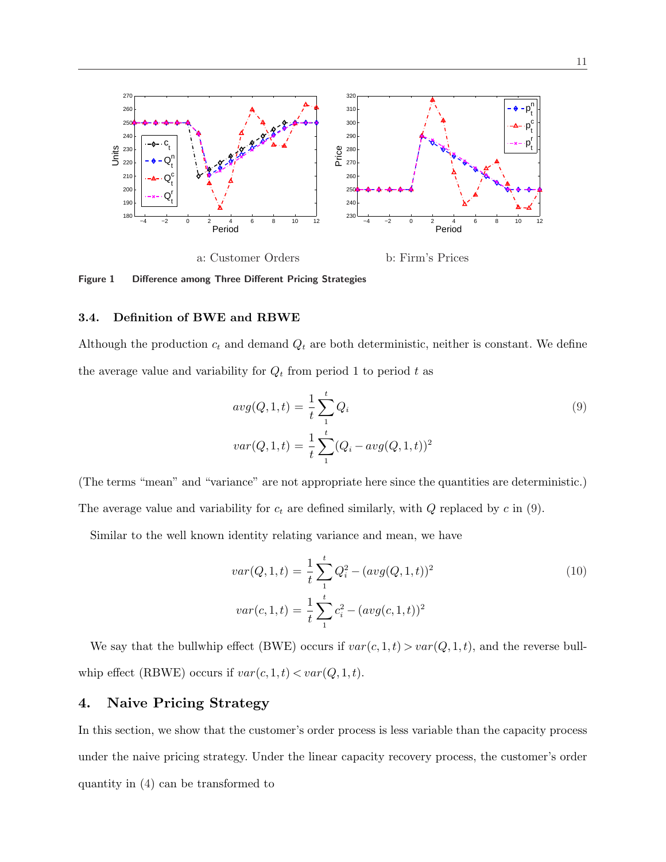

Figure 1 Difference among Three Different Pricing Strategies

#### 3.4. Definition of BWE and RBWE

Although the production  $c_t$  and demand  $Q_t$  are both deterministic, neither is constant. We define the average value and variability for  $Q_t$  from period 1 to period t as

$$
avg(Q, 1, t) = \frac{1}{t} \sum_{1}^{t} Q_i
$$
  

$$
var(Q, 1, t) = \frac{1}{t} \sum_{1}^{t} (Q_i - avg(Q, 1, t))^2
$$
 (9)

(The terms "mean" and "variance" are not appropriate here since the quantities are deterministic.) The average value and variability for  $c_t$  are defined similarly, with  $Q$  replaced by  $c$  in (9).

Similar to the well known identity relating variance and mean, we have

$$
var(Q, 1, t) = \frac{1}{t} \sum_{1}^{t} Q_i^2 - (avg(Q, 1, t))^2
$$
  

$$
var(c, 1, t) = \frac{1}{t} \sum_{1}^{t} c_i^2 - (avg(c, 1, t))^2
$$
 (10)

We say that the bullwhip effect (BWE) occurs if  $var(c, 1, t) > var(Q, 1, t)$ , and the reverse bullwhip effect (RBWE) occurs if  $var(c, 1, t) < var(Q, 1, t)$ .

# 4. Naive Pricing Strategy

In this section, we show that the customer's order process is less variable than the capacity process under the naive pricing strategy. Under the linear capacity recovery process, the customer's order quantity in (4) can be transformed to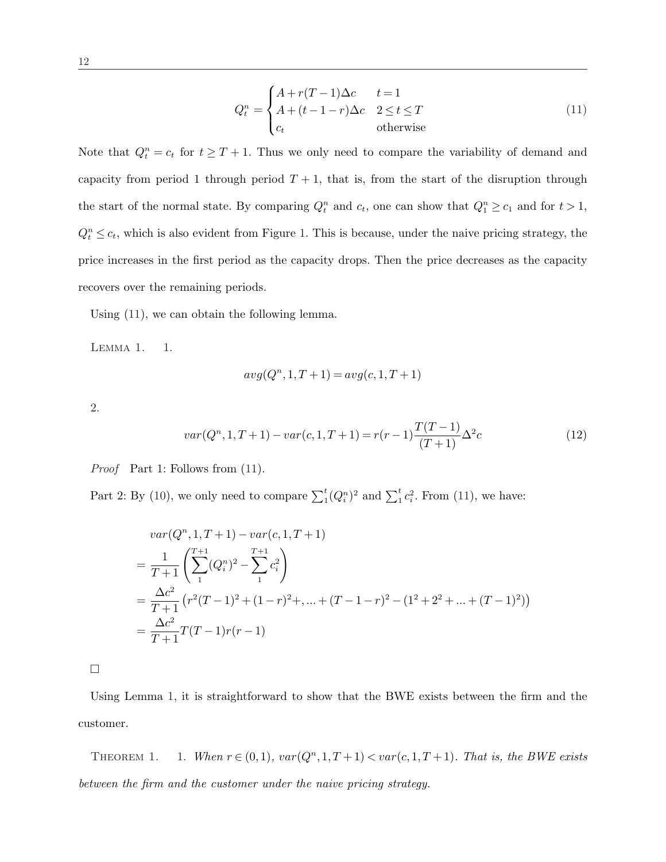$$
Q_t^n = \begin{cases} A + r(T-1)\Delta c & t = 1\\ A + (t-1-r)\Delta c & 2 \le t \le T\\ c_t & \text{otherwise} \end{cases}
$$
(11)

Note that  $Q_t^n = c_t$  for  $t \geq T + 1$ . Thus we only need to compare the variability of demand and capacity from period 1 through period  $T + 1$ , that is, from the start of the disruption through the start of the normal state. By comparing  $Q_t^n$  and  $c_t$ , one can show that  $Q_1^n \ge c_1$  and for  $t > 1$ ,  $Q_t^n \leq c_t$ , which is also evident from Figure 1. This is because, under the naive pricing strategy, the price increases in the first period as the capacity drops. Then the price decreases as the capacity recovers over the remaining periods.

Using (11), we can obtain the following lemma.

LEMMA 1. 1.

$$
avg(Qn, 1, T+1) = avg(c, 1, T+1)
$$

2.

$$
var(Q^n, 1, T+1) - var(c, 1, T+1) = r(r-1)\frac{T(T-1)}{(T+1)}\Delta^2 c
$$
\n(12)

Proof Part 1: Follows from (11).

Part 2: By (10), we only need to compare  $\sum_{i=1}^{t} (Q_i^n)^2$  and  $\sum_{i=1}^{t} c_i^2$ . From (11), we have:

$$
var(Q^n, 1, T+1) - var(c, 1, T+1)
$$
  
= 
$$
\frac{1}{T+1} \left( \sum_{1}^{T+1} (Q_i^n)^2 - \sum_{1}^{T+1} c_i^2 \right)
$$
  
= 
$$
\frac{\Delta c^2}{T+1} \left( r^2 (T-1)^2 + (1-r)^2 + \dots + (T-1-r)^2 - (1^2 + 2^2 + \dots + (T-1)^2) \right)
$$
  
= 
$$
\frac{\Delta c^2}{T+1} T(T-1)r(r-1)
$$

¤

Using Lemma 1, it is straightforward to show that the BWE exists between the firm and the customer.

THEOREM 1. 1. When  $r \in (0,1)$ ,  $var(Q<sup>n</sup>,1,T+1) < var(c,1,T+1)$ . That is, the BWE exists between the firm and the customer under the naive pricing strategy.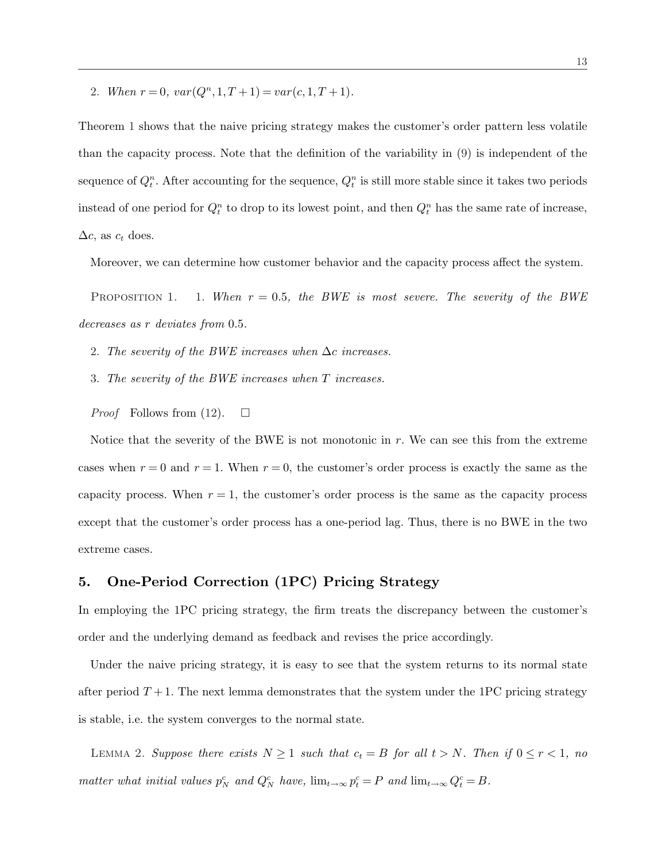2. When  $r = 0$ ,  $var(Q<sup>n</sup>, 1, T + 1) = var(c, 1, T + 1)$ .

Theorem 1 shows that the naive pricing strategy makes the customer's order pattern less volatile than the capacity process. Note that the definition of the variability in (9) is independent of the sequence of  $Q_t^n$ . After accounting for the sequence,  $Q_t^n$  is still more stable since it takes two periods instead of one period for  $Q_t^n$  to drop to its lowest point, and then  $Q_t^n$  has the same rate of increase,  $\Delta c$ , as  $c_t$  does.

Moreover, we can determine how customer behavior and the capacity process affect the system.

PROPOSITION 1. 1. When  $r = 0.5$ , the BWE is most severe. The severity of the BWE decreases as r deviates from 0.5.

2. The severity of the BWE increases when  $\Delta c$  increases.

- 3. The severity of the BWE increases when T increases.
- *Proof* Follows from (12).  $\Box$

Notice that the severity of the BWE is not monotonic in  $r$ . We can see this from the extreme cases when  $r = 0$  and  $r = 1$ . When  $r = 0$ , the customer's order process is exactly the same as the capacity process. When  $r = 1$ , the customer's order process is the same as the capacity process except that the customer's order process has a one-period lag. Thus, there is no BWE in the two extreme cases.

# 5. One-Period Correction (1PC) Pricing Strategy

In employing the 1PC pricing strategy, the firm treats the discrepancy between the customer's order and the underlying demand as feedback and revises the price accordingly.

Under the naive pricing strategy, it is easy to see that the system returns to its normal state after period  $T+1$ . The next lemma demonstrates that the system under the 1PC pricing strategy is stable, i.e. the system converges to the normal state.

LEMMA 2. Suppose there exists  $N \geq 1$  such that  $c_t = B$  for all  $t > N$ . Then if  $0 \leq r < 1$ , no matter what initial values  $p_N^c$  and  $Q_N^c$  have,  $\lim_{t\to\infty} p_t^c = P$  and  $\lim_{t\to\infty} Q_t^c = B$ .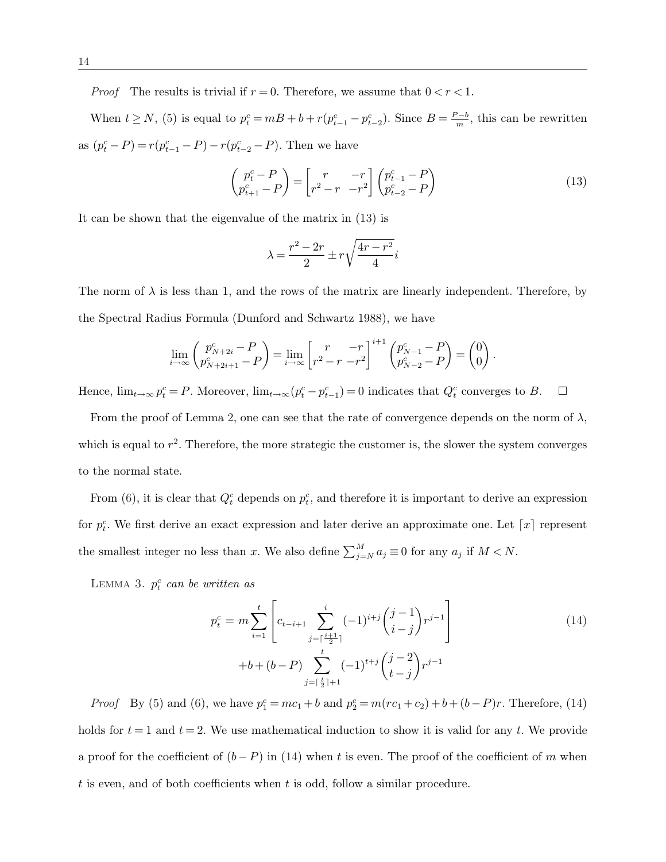*Proof* The results is trivial if  $r = 0$ . Therefore, we assume that  $0 < r < 1$ .

When  $t \ge N$ , (5) is equal to  $p_t^c = mB + b + r(p_{t-1}^c - p_{t-2}^c)$ . Since  $B = \frac{P-b}{m}$  $\frac{b-b}{m}$ , this can be rewritten as  $(p_t^c - P) = r(p_{t-1}^c - P) - r(p_{t-2}^c - P)$ . Then we have

$$
\begin{pmatrix} p_t^c - P \\ p_{t+1}^c - P \end{pmatrix} = \begin{bmatrix} r & -r \\ r^2 - r & -r^2 \end{bmatrix} \begin{pmatrix} p_{t-1}^c - P \\ p_{t-2}^c - P \end{pmatrix}
$$
\n(13)

It can be shown that the eigenvalue of the matrix in (13) is

$$
\lambda = \frac{r^2 - 2r}{2} \pm r \sqrt{\frac{4r - r^2}{4}} i
$$

The norm of  $\lambda$  is less than 1, and the rows of the matrix are linearly independent. Therefore, by the Spectral Radius Formula (Dunford and Schwartz 1988), we have

$$
\lim_{i \to \infty} \begin{pmatrix} p_{N+2i}^c - P \\ p_{N+2i+1}^c - P \end{pmatrix} = \lim_{i \to \infty} \begin{bmatrix} r & -r \\ r^2 - r & -r^2 \end{bmatrix}^{i+1} \begin{pmatrix} p_{N-1}^c - P \\ p_{N-2}^c - P \end{pmatrix} = \begin{pmatrix} 0 \\ 0 \end{pmatrix}.
$$

Hence,  $\lim_{t\to\infty} p_t^c = P$ . Moreover,  $\lim_{t\to\infty} (p_t^c - p_{t-1}^c) = 0$  indicates that  $Q_t^c$  converges to B.  $\Box$ 

From the proof of Lemma 2, one can see that the rate of convergence depends on the norm of  $\lambda$ , which is equal to  $r^2$ . Therefore, the more strategic the customer is, the slower the system converges to the normal state.

From (6), it is clear that  $Q_t^c$  depends on  $p_t^c$ , and therefore it is important to derive an expression for  $p_t^c$ . We first derive an exact expression and later derive an approximate one. Let  $\lceil x \rceil$  represent the smallest integer no less than x. We also define  $\sum_{j=N}^{M} a_j \equiv 0$  for any  $a_j$  if  $M < N$ .

LEMMA 3.  $p_t^c$  can be written as

$$
p_t^c = m \sum_{i=1}^t \left[ c_{t-i+1} \sum_{j=\lceil \frac{i+1}{2} \rceil}^i (-1)^{i+j} \binom{j-1}{i-j} r^{j-1} \right]
$$
  
+b+(b-P) 
$$
\sum_{j=\lceil \frac{t}{2} \rceil+1}^t (-1)^{t+j} \binom{j-2}{t-j} r^{j-1}
$$
 (14)

*Proof* By (5) and (6), we have  $p_1^c = mc_1 + b$  and  $p_2^c = m(cc_1 + c_2) + b + (b - P)r$ . Therefore, (14) holds for  $t = 1$  and  $t = 2$ . We use mathematical induction to show it is valid for any t. We provide a proof for the coefficient of  $(b - P)$  in (14) when t is even. The proof of the coefficient of m when t is even, and of both coefficients when t is odd, follow a similar procedure.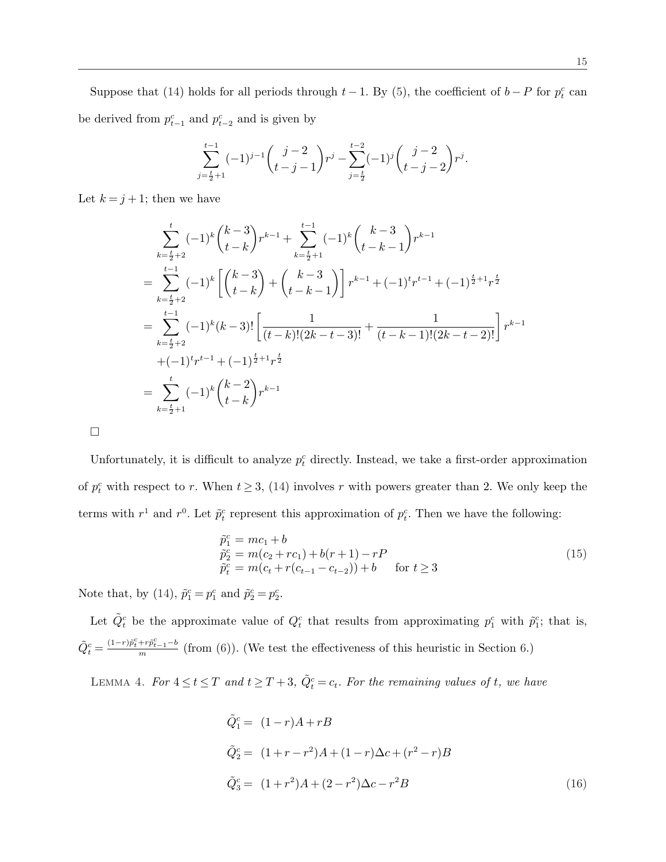Suppose that (14) holds for all periods through  $t-1$ . By (5), the coefficient of  $b-P$  for  $p_t^c$  can be derived from  $p_{t-1}^c$  and  $p_{t-2}^c$  and is given by

$$
\sum_{j=\frac{t}{2}+1}^{t-1} (-1)^{j-1}\binom{j-2}{t-j-1}r^j-\sum_{j=\frac{t}{2}}^{t-2} (-1)^j\binom{j-2}{t-j-2}r^j.
$$

Let  $k = j + 1$ ; then we have

$$
\sum_{k=\frac{t}{2}+2}^{t} (-1)^{k} {k-3 \choose t-k} r^{k-1} + \sum_{k=\frac{t}{2}+1}^{t-1} (-1)^{k} {k-3 \choose t-k-1} r^{k-1}
$$
\n
$$
= \sum_{k=\frac{t}{2}+2}^{t-1} (-1)^{k} \left[ {k-3 \choose t-k} + {k-3 \choose t-k-1} \right] r^{k-1} + (-1)^{t} r^{t-1} + (-1)^{\frac{t}{2}+1} r^{\frac{t}{2}}
$$
\n
$$
= \sum_{k=\frac{t}{2}+2}^{t-1} (-1)^{k} (k-3)! \left[ \frac{1}{(t-k)!(2k-t-3)!} + \frac{1}{(t-k-1)!(2k-t-2)!} \right] r^{k-1}
$$
\n
$$
+ (-1)^{t} r^{t-1} + (-1)^{\frac{t}{2}+1} r^{\frac{t}{2}}
$$
\n
$$
= \sum_{k=\frac{t}{2}+1}^{t} (-1)^{k} {k-2 \choose t-k} r^{k-1}
$$

 $\Box$ 

Unfortunately, it is difficult to analyze  $p_t^c$  directly. Instead, we take a first-order approximation of  $p_t^c$  with respect to r. When  $t \geq 3$ , (14) involves r with powers greater than 2. We only keep the terms with  $r^1$  and  $r^0$ . Let  $\tilde{p}_t^c$  represent this approximation of  $p_t^c$ . Then we have the following:

$$
\tilde{p}_1^c = mc_1 + b \n\tilde{p}_2^c = m(c_2 + rc_1) + b(r + 1) - rP \n\tilde{p}_t^c = m(c_t + r(c_{t-1} - c_{t-2})) + b \quad \text{for } t \ge 3
$$
\n(15)

Note that, by (14),  $\tilde{p}_1^c = p_1^c$  and  $\tilde{p}_2^c = p_2^c$ .

Let  $\tilde{Q}_t^c$  be the approximate value of  $Q_t^c$  that results from approximating  $p_1^c$  with  $\tilde{p}_1^c$ ; that is,  $\tilde{Q}_{t}^{c} = \frac{(1-r)\tilde{p}_{t}^{c}+r\tilde{p}_{t-1}^{c}-b}{m}$  $\frac{f^{+p}t-1^{-p}}{m}$  (from (6)). (We test the effectiveness of this heuristic in Section 6.)

LEMMA 4. For  $4 \le t \le T$  and  $t \ge T+3$ ,  $\tilde{Q}_t^c = c_t$ . For the remaining values of t, we have

$$
\tilde{Q}_1^c = (1 - r)A + rB
$$
\n
$$
\tilde{Q}_2^c = (1 + r - r^2)A + (1 - r)\Delta c + (r^2 - r)B
$$
\n
$$
\tilde{Q}_3^c = (1 + r^2)A + (2 - r^2)\Delta c - r^2B
$$
\n(16)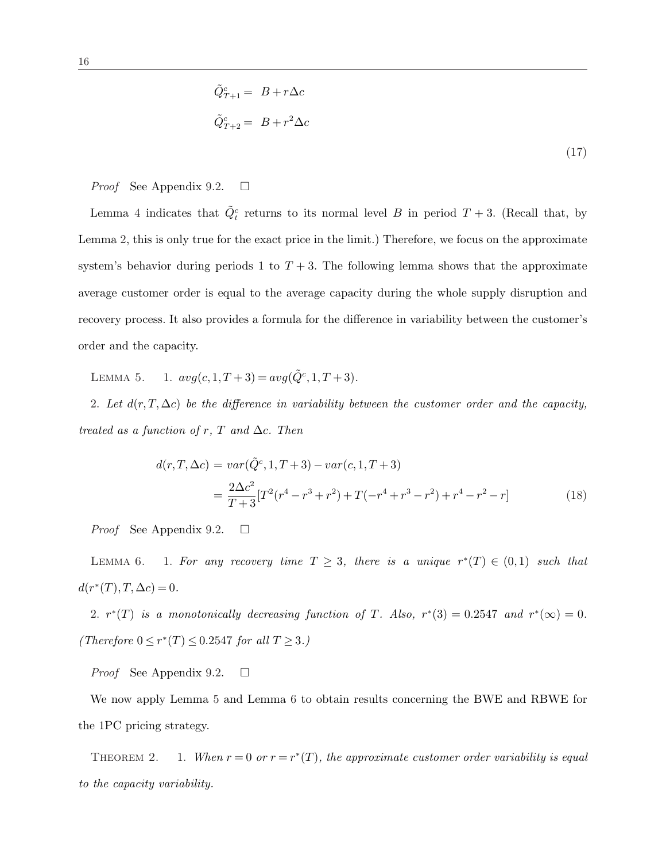$$
\tilde{Q}_{T+1}^c = B + r\Delta c
$$
  

$$
\tilde{Q}_{T+2}^c = B + r^2 \Delta c
$$
 (17)

#### *Proof* See Appendix 9.2.  $\Box$

Lemma 4 indicates that  $\tilde{Q}^c_t$  returns to its normal level B in period  $T + 3$ . (Recall that, by Lemma 2, this is only true for the exact price in the limit.) Therefore, we focus on the approximate system's behavior during periods 1 to  $T + 3$ . The following lemma shows that the approximate average customer order is equal to the average capacity during the whole supply disruption and recovery process. It also provides a formula for the difference in variability between the customer's order and the capacity.

LEMMA 5. 1.  $avg(c, 1, T+3) = avg(\tilde{Q}^c, 1, T+3)$ .

2. Let  $d(r, T, \Delta c)$  be the difference in variability between the customer order and the capacity, treated as a function of r, T and  $\Delta c$ . Then

$$
d(r,T,\Delta c) = var(\tilde{Q}^c,1,T+3) - var(c,1,T+3)
$$
  
= 
$$
\frac{2\Delta c^2}{T+3}[T^2(r^4-r^3+r^2)+T(-r^4+r^3-r^2)+r^4-r^2-r]
$$
 (18)

*Proof* See Appendix 9.2.  $\Box$ 

LEMMA 6. 1. For any recovery time  $T \geq 3$ , there is a unique  $r^*(T) \in (0,1)$  such that  $d(r^*(T), T, \Delta c) = 0.$ 

2.  $r^*(T)$  is a monotonically decreasing function of T. Also,  $r^*(3) = 0.2547$  and  $r^*(\infty) = 0$ . (Therefore  $0 \le r^*(T) \le 0.2547$  for all  $T \ge 3$ .)

*Proof* See Appendix 9.2.  $\Box$ 

We now apply Lemma 5 and Lemma 6 to obtain results concerning the BWE and RBWE for the 1PC pricing strategy.

THEOREM 2. 1. When  $r = 0$  or  $r = r^*(T)$ , the approximate customer order variability is equal to the capacity variability.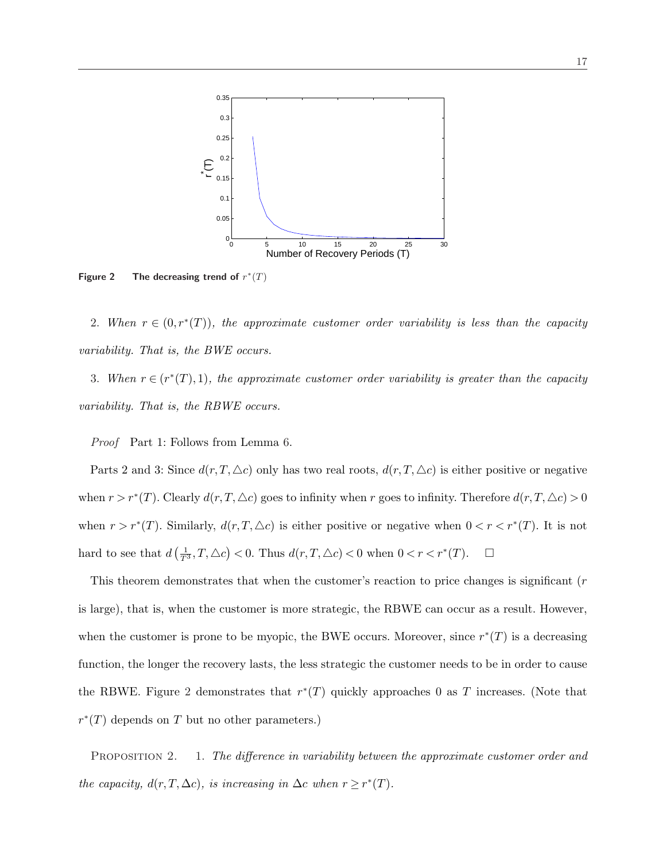

Figure 2 The decreasing trend of  $r^*(T)$ 

2. When  $r \in (0, r^*(T))$ , the approximate customer order variability is less than the capacity variability. That is, the BWE occurs.

3. When  $r \in (r^*(T), 1)$ , the approximate customer order variability is greater than the capacity variability. That is, the RBWE occurs.

Proof Part 1: Follows from Lemma 6.

Parts 2 and 3: Since  $d(r, T, \triangle c)$  only has two real roots,  $d(r, T, \triangle c)$  is either positive or negative when  $r > r^*(T)$ . Clearly  $d(r,T,\Delta c)$  goes to infinity when r goes to infinity. Therefore  $d(r,T,\Delta c) > 0$ when  $r > r^{*}(T)$ . Similarly,  $d(r, T, \triangle c)$  is either positive or negative when  $0 < r < r^{*}(T)$ . It is not hard to see that  $d$  $\left(\frac{1}{T^3}, T, \triangle c\right)$ ¢  $< 0$ . Thus  $d(r,T,\triangle c) < 0$  when  $0 < r < r^*(T)$ .  $\Box$ 

This theorem demonstrates that when the customer's reaction to price changes is significant (r is large), that is, when the customer is more strategic, the RBWE can occur as a result. However, when the customer is prone to be myopic, the BWE occurs. Moreover, since  $r^*(T)$  is a decreasing function, the longer the recovery lasts, the less strategic the customer needs to be in order to cause the RBWE. Figure 2 demonstrates that  $r^*(T)$  quickly approaches 0 as T increases. (Note that  $r^*(T)$  depends on T but no other parameters.)

PROPOSITION 2. 1. The difference in variability between the approximate customer order and the capacity,  $d(r, T, \Delta c)$ , is increasing in  $\Delta c$  when  $r \geq r^*(T)$ .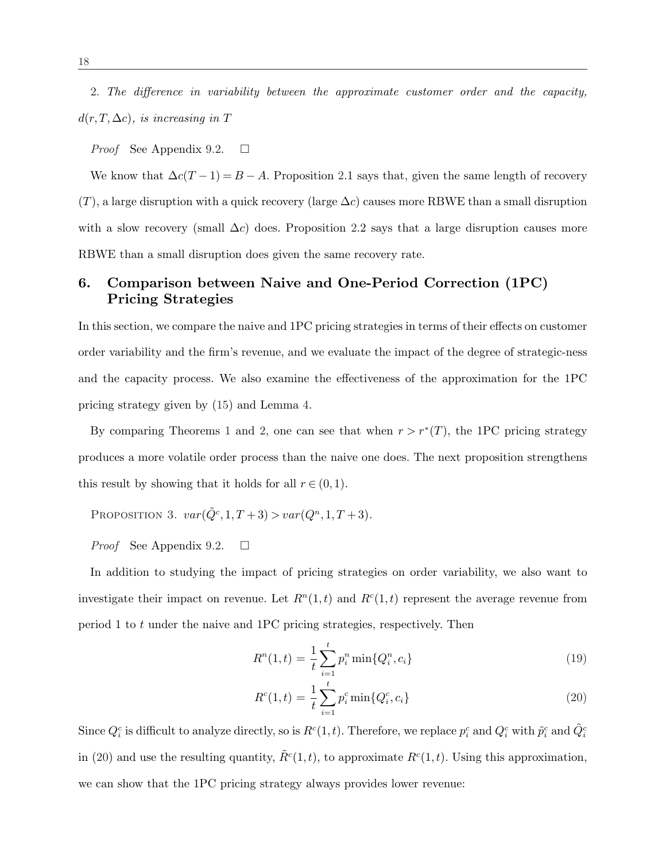2. The difference in variability between the approximate customer order and the capacity,  $d(r, T, \Delta c)$ , is increasing in T

*Proof* See Appendix 9.2.  $\Box$ 

We know that  $\Delta c(T-1) = B - A$ . Proposition 2.1 says that, given the same length of recovery  $(T)$ , a large disruption with a quick recovery (large  $\Delta c$ ) causes more RBWE than a small disruption with a slow recovery (small  $\Delta c$ ) does. Proposition 2.2 says that a large disruption causes more RBWE than a small disruption does given the same recovery rate.

# 6. Comparison between Naive and One-Period Correction (1PC) Pricing Strategies

In this section, we compare the naive and 1PC pricing strategies in terms of their effects on customer order variability and the firm's revenue, and we evaluate the impact of the degree of strategic-ness and the capacity process. We also examine the effectiveness of the approximation for the 1PC pricing strategy given by (15) and Lemma 4.

By comparing Theorems 1 and 2, one can see that when  $r > r^*(T)$ , the 1PC pricing strategy produces a more volatile order process than the naive one does. The next proposition strengthens this result by showing that it holds for all  $r \in (0,1)$ .

PROPOSITION 3.  $var(\tilde{Q}^c, 1, T+3) > var(Q^n, 1, T+3)$ .

*Proof* See Appendix 9.2.  $\Box$ 

In addition to studying the impact of pricing strategies on order variability, we also want to investigate their impact on revenue. Let  $R<sup>n</sup>(1,t)$  and  $R<sup>c</sup>(1,t)$  represent the average revenue from period 1 to t under the naive and 1PC pricing strategies, respectively. Then

$$
R^{n}(1,t) = \frac{1}{t} \sum_{i=1}^{t} p_{i}^{n} \min\{Q_{i}^{n}, c_{i}\}
$$
\n(19)

$$
R^{c}(1,t) = \frac{1}{t} \sum_{i=1}^{t} p_{i}^{c} \min\{Q_{i}^{c}, c_{i}\}
$$
\n(20)

Since  $Q_i^c$  is difficult to analyze directly, so is  $R^c(1,t)$ . Therefore, we replace  $p_i^c$  and  $Q_i^c$  with  $\tilde{p}_i^c$  and  $\tilde{Q}_i^c$ in (20) and use the resulting quantity,  $\tilde{R}^c(1,t)$ , to approximate  $R^c(1,t)$ . Using this approximation, we can show that the 1PC pricing strategy always provides lower revenue: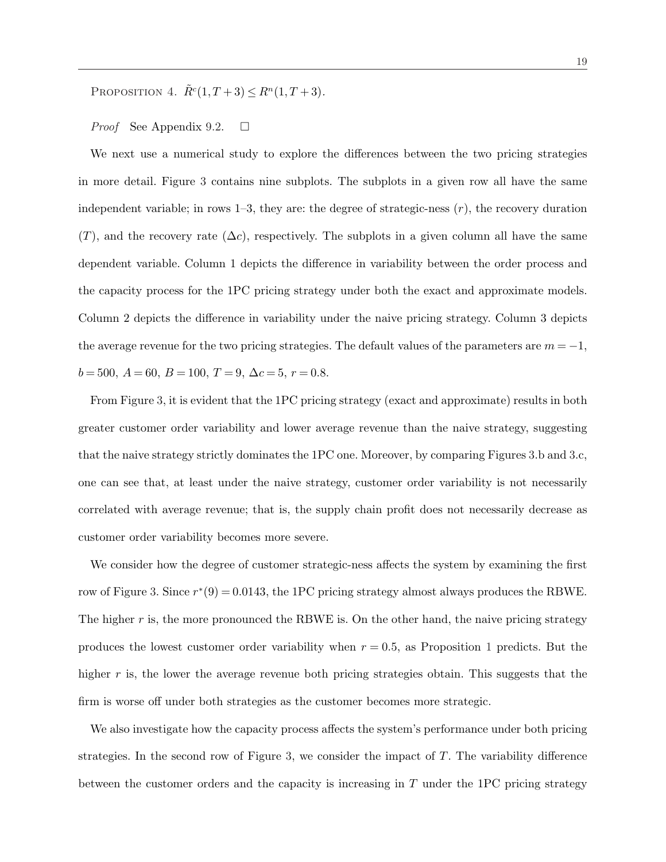PROPOSITION 4.  $\tilde{R}^c(1,T+3) \leq R^n(1,T+3)$ .

*Proof* See Appendix 9.2.  $\Box$ 

We next use a numerical study to explore the differences between the two pricing strategies in more detail. Figure 3 contains nine subplots. The subplots in a given row all have the same independent variable; in rows  $1-3$ , they are: the degree of strategic-ness  $(r)$ , the recovery duration  $(T)$ , and the recovery rate  $(\Delta c)$ , respectively. The subplots in a given column all have the same dependent variable. Column 1 depicts the difference in variability between the order process and the capacity process for the 1PC pricing strategy under both the exact and approximate models. Column 2 depicts the difference in variability under the naive pricing strategy. Column 3 depicts the average revenue for the two pricing strategies. The default values of the parameters are  $m = -1$ ,  $b = 500, A = 60, B = 100, T = 9, \Delta c = 5, r = 0.8.$ 

From Figure 3, it is evident that the 1PC pricing strategy (exact and approximate) results in both greater customer order variability and lower average revenue than the naive strategy, suggesting that the naive strategy strictly dominates the 1PC one. Moreover, by comparing Figures 3.b and 3.c, one can see that, at least under the naive strategy, customer order variability is not necessarily correlated with average revenue; that is, the supply chain profit does not necessarily decrease as customer order variability becomes more severe.

We consider how the degree of customer strategic-ness affects the system by examining the first row of Figure 3. Since  $r^*(9) = 0.0143$ , the 1PC pricing strategy almost always produces the RBWE. The higher r is, the more pronounced the RBWE is. On the other hand, the naive pricing strategy produces the lowest customer order variability when  $r = 0.5$ , as Proposition 1 predicts. But the higher r is, the lower the average revenue both pricing strategies obtain. This suggests that the firm is worse off under both strategies as the customer becomes more strategic.

We also investigate how the capacity process affects the system's performance under both pricing strategies. In the second row of Figure 3, we consider the impact of  $T$ . The variability difference between the customer orders and the capacity is increasing in T under the 1PC pricing strategy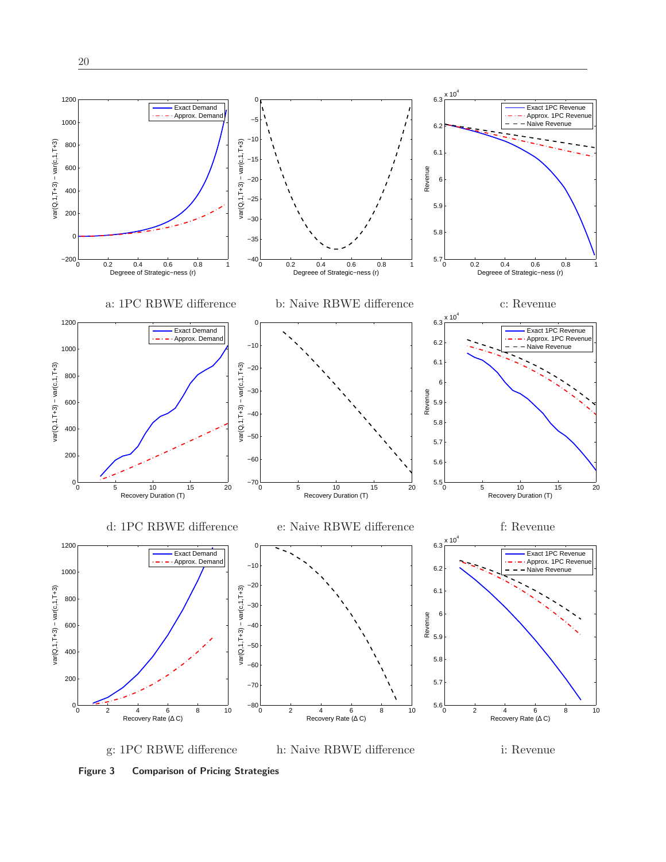

Figure 3 Comparison of Pricing Strategies

g: 1PC RBWE difference h: Naive RBWE difference i: Revenue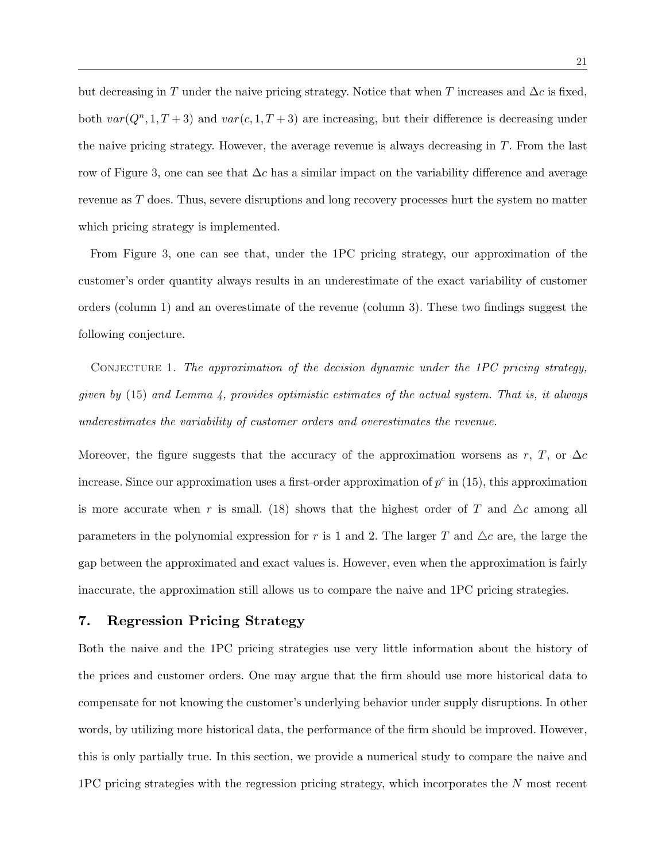but decreasing in T under the naive pricing strategy. Notice that when T increases and  $\Delta c$  is fixed, both  $var(Q<sup>n</sup>, 1, T + 3)$  and  $var(c, 1, T + 3)$  are increasing, but their difference is decreasing under the naive pricing strategy. However, the average revenue is always decreasing in  $T$ . From the last row of Figure 3, one can see that  $\Delta c$  has a similar impact on the variability difference and average revenue as T does. Thus, severe disruptions and long recovery processes hurt the system no matter which pricing strategy is implemented.

From Figure 3, one can see that, under the 1PC pricing strategy, our approximation of the customer's order quantity always results in an underestimate of the exact variability of customer orders (column 1) and an overestimate of the revenue (column 3). These two findings suggest the following conjecture.

CONJECTURE 1. The approximation of the decision dynamic under the 1PC pricing strategy, given by  $(15)$  and Lemma 4, provides optimistic estimates of the actual system. That is, it always underestimates the variability of customer orders and overestimates the revenue.

Moreover, the figure suggests that the accuracy of the approximation worsens as r, T, or  $\Delta c$ increase. Since our approximation uses a first-order approximation of  $p^c$  in (15), this approximation is more accurate when r is small. (18) shows that the highest order of T and  $\Delta c$  among all parameters in the polynomial expression for r is 1 and 2. The larger T and  $\Delta c$  are, the large the gap between the approximated and exact values is. However, even when the approximation is fairly inaccurate, the approximation still allows us to compare the naive and 1PC pricing strategies.

#### 7. Regression Pricing Strategy

Both the naive and the 1PC pricing strategies use very little information about the history of the prices and customer orders. One may argue that the firm should use more historical data to compensate for not knowing the customer's underlying behavior under supply disruptions. In other words, by utilizing more historical data, the performance of the firm should be improved. However, this is only partially true. In this section, we provide a numerical study to compare the naive and 1PC pricing strategies with the regression pricing strategy, which incorporates the N most recent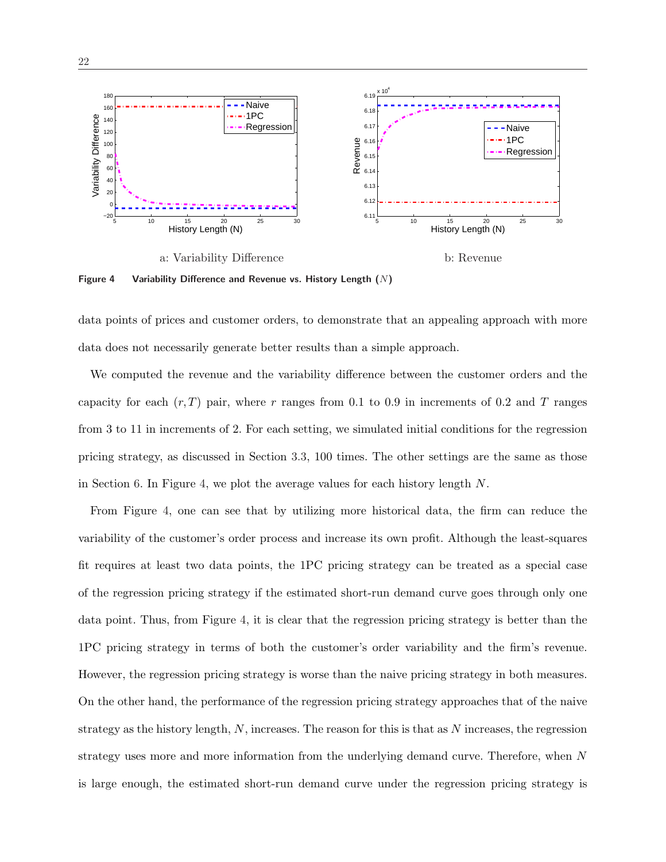

Figure 4 Variability Difference and Revenue vs. History Length  $(N)$ 

data points of prices and customer orders, to demonstrate that an appealing approach with more data does not necessarily generate better results than a simple approach.

We computed the revenue and the variability difference between the customer orders and the capacity for each  $(r, T)$  pair, where r ranges from 0.1 to 0.9 in increments of 0.2 and T ranges from 3 to 11 in increments of 2. For each setting, we simulated initial conditions for the regression pricing strategy, as discussed in Section 3.3, 100 times. The other settings are the same as those in Section 6. In Figure 4, we plot the average values for each history length  $N$ .

From Figure 4, one can see that by utilizing more historical data, the firm can reduce the variability of the customer's order process and increase its own profit. Although the least-squares fit requires at least two data points, the 1PC pricing strategy can be treated as a special case of the regression pricing strategy if the estimated short-run demand curve goes through only one data point. Thus, from Figure 4, it is clear that the regression pricing strategy is better than the 1PC pricing strategy in terms of both the customer's order variability and the firm's revenue. However, the regression pricing strategy is worse than the naive pricing strategy in both measures. On the other hand, the performance of the regression pricing strategy approaches that of the naive strategy as the history length,  $N$ , increases. The reason for this is that as  $N$  increases, the regression strategy uses more and more information from the underlying demand curve. Therefore, when N is large enough, the estimated short-run demand curve under the regression pricing strategy is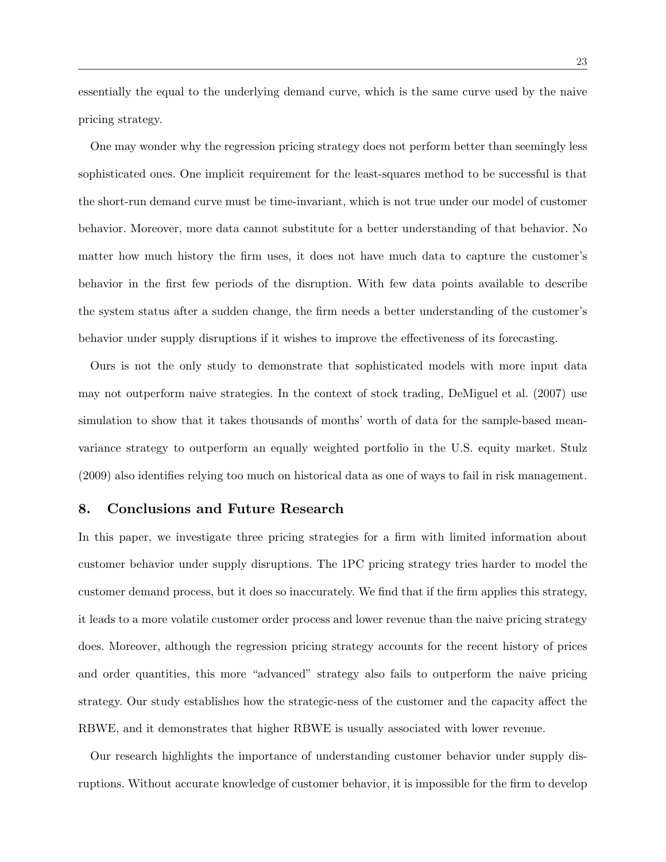essentially the equal to the underlying demand curve, which is the same curve used by the naive pricing strategy.

One may wonder why the regression pricing strategy does not perform better than seemingly less sophisticated ones. One implicit requirement for the least-squares method to be successful is that the short-run demand curve must be time-invariant, which is not true under our model of customer behavior. Moreover, more data cannot substitute for a better understanding of that behavior. No matter how much history the firm uses, it does not have much data to capture the customer's behavior in the first few periods of the disruption. With few data points available to describe the system status after a sudden change, the firm needs a better understanding of the customer's behavior under supply disruptions if it wishes to improve the effectiveness of its forecasting.

Ours is not the only study to demonstrate that sophisticated models with more input data may not outperform naive strategies. In the context of stock trading, DeMiguel et al. (2007) use simulation to show that it takes thousands of months' worth of data for the sample-based meanvariance strategy to outperform an equally weighted portfolio in the U.S. equity market. Stulz (2009) also identifies relying too much on historical data as one of ways to fail in risk management.

### 8. Conclusions and Future Research

In this paper, we investigate three pricing strategies for a firm with limited information about customer behavior under supply disruptions. The 1PC pricing strategy tries harder to model the customer demand process, but it does so inaccurately. We find that if the firm applies this strategy, it leads to a more volatile customer order process and lower revenue than the naive pricing strategy does. Moreover, although the regression pricing strategy accounts for the recent history of prices and order quantities, this more "advanced" strategy also fails to outperform the naive pricing strategy. Our study establishes how the strategic-ness of the customer and the capacity affect the RBWE, and it demonstrates that higher RBWE is usually associated with lower revenue.

Our research highlights the importance of understanding customer behavior under supply disruptions. Without accurate knowledge of customer behavior, it is impossible for the firm to develop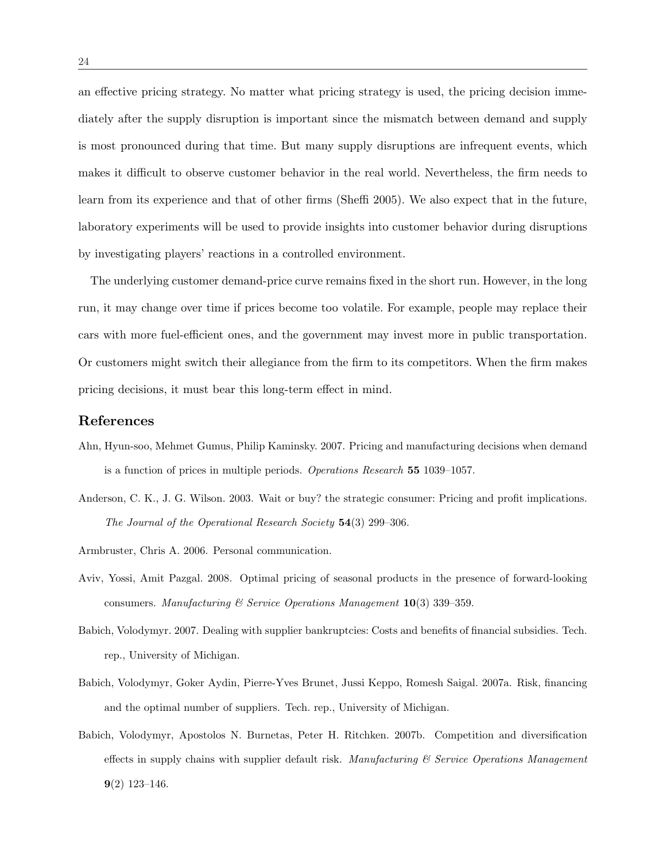an effective pricing strategy. No matter what pricing strategy is used, the pricing decision immediately after the supply disruption is important since the mismatch between demand and supply is most pronounced during that time. But many supply disruptions are infrequent events, which makes it difficult to observe customer behavior in the real world. Nevertheless, the firm needs to learn from its experience and that of other firms (Sheffi 2005). We also expect that in the future, laboratory experiments will be used to provide insights into customer behavior during disruptions by investigating players' reactions in a controlled environment.

The underlying customer demand-price curve remains fixed in the short run. However, in the long run, it may change over time if prices become too volatile. For example, people may replace their cars with more fuel-efficient ones, and the government may invest more in public transportation. Or customers might switch their allegiance from the firm to its competitors. When the firm makes pricing decisions, it must bear this long-term effect in mind.

# References

- Ahn, Hyun-soo, Mehmet Gumus, Philip Kaminsky. 2007. Pricing and manufacturing decisions when demand is a function of prices in multiple periods. Operations Research 55 1039–1057.
- Anderson, C. K., J. G. Wilson. 2003. Wait or buy? the strategic consumer: Pricing and profit implications. The Journal of the Operational Research Society 54(3) 299–306.
- Armbruster, Chris A. 2006. Personal communication.
- Aviv, Yossi, Amit Pazgal. 2008. Optimal pricing of seasonal products in the presence of forward-looking consumers. Manufacturing  $\mathcal C$  Service Operations Management  $\mathbf{10}(3)$  339–359.
- Babich, Volodymyr. 2007. Dealing with supplier bankruptcies: Costs and benefits of financial subsidies. Tech. rep., University of Michigan.
- Babich, Volodymyr, Goker Aydin, Pierre-Yves Brunet, Jussi Keppo, Romesh Saigal. 2007a. Risk, financing and the optimal number of suppliers. Tech. rep., University of Michigan.
- Babich, Volodymyr, Apostolos N. Burnetas, Peter H. Ritchken. 2007b. Competition and diversification effects in supply chains with supplier default risk. Manufacturing  $\mathscr C$  Service Operations Management  $9(2)$  123-146.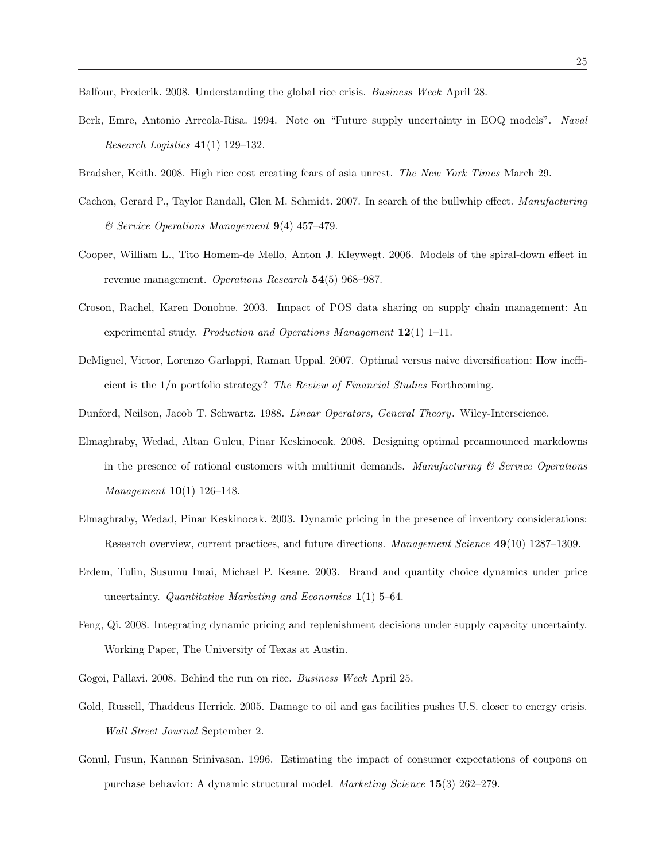Balfour, Frederik. 2008. Understanding the global rice crisis. Business Week April 28.

- Berk, Emre, Antonio Arreola-Risa. 1994. Note on "Future supply uncertainty in EOQ models". Naval Research Logistics  $41(1)$  129-132.
- Bradsher, Keith. 2008. High rice cost creating fears of asia unrest. The New York Times March 29.
- Cachon, Gerard P., Taylor Randall, Glen M. Schmidt. 2007. In search of the bullwhip effect. Manufacturing  $\mathcal C$  Service Operations Management **9**(4) 457-479.
- Cooper, William L., Tito Homem-de Mello, Anton J. Kleywegt. 2006. Models of the spiral-down effect in revenue management. Operations Research 54(5) 968-987.
- Croson, Rachel, Karen Donohue. 2003. Impact of POS data sharing on supply chain management: An experimental study. Production and Operations Management 12(1) 1-11.
- DeMiguel, Victor, Lorenzo Garlappi, Raman Uppal. 2007. Optimal versus naive diversification: How inefficient is the 1/n portfolio strategy? The Review of Financial Studies Forthcoming.
- Dunford, Neilson, Jacob T. Schwartz. 1988. Linear Operators, General Theory. Wiley-Interscience.
- Elmaghraby, Wedad, Altan Gulcu, Pinar Keskinocak. 2008. Designing optimal preannounced markdowns in the presence of rational customers with multiunit demands. Manufacturing  $\mathcal C$  Service Operations Management 10(1) 126–148.
- Elmaghraby, Wedad, Pinar Keskinocak. 2003. Dynamic pricing in the presence of inventory considerations: Research overview, current practices, and future directions. Management Science 49(10) 1287–1309.
- Erdem, Tulin, Susumu Imai, Michael P. Keane. 2003. Brand and quantity choice dynamics under price uncertainty. Quantitative Marketing and Economics  $1(1)$  5–64.
- Feng, Qi. 2008. Integrating dynamic pricing and replenishment decisions under supply capacity uncertainty. Working Paper, The University of Texas at Austin.
- Gogoi, Pallavi. 2008. Behind the run on rice. Business Week April 25.
- Gold, Russell, Thaddeus Herrick. 2005. Damage to oil and gas facilities pushes U.S. closer to energy crisis. Wall Street Journal September 2.
- Gonul, Fusun, Kannan Srinivasan. 1996. Estimating the impact of consumer expectations of coupons on purchase behavior: A dynamic structural model. Marketing Science 15(3) 262–279.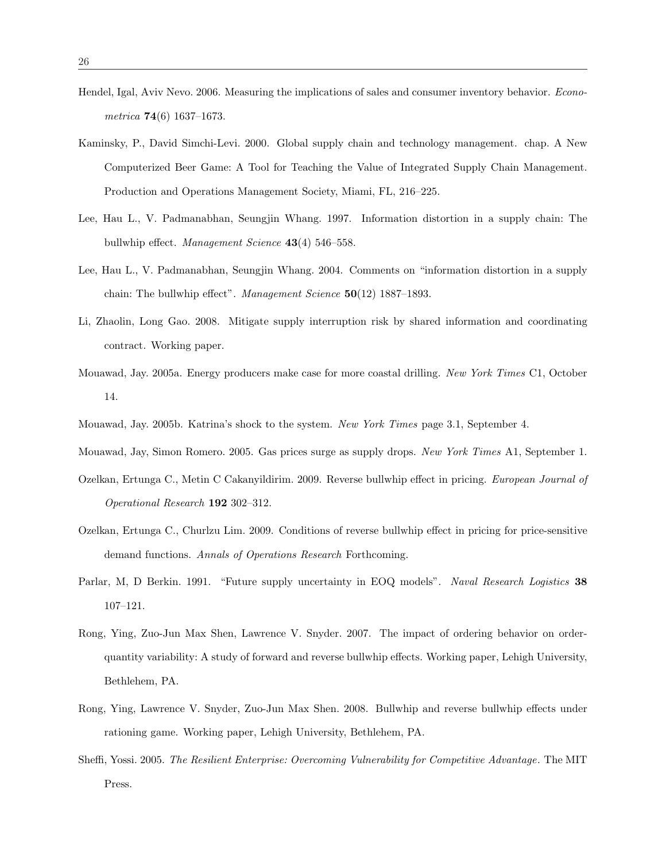- Hendel, Igal, Aviv Nevo. 2006. Measuring the implications of sales and consumer inventory behavior. Econometrica 74(6) 1637–1673.
- Kaminsky, P., David Simchi-Levi. 2000. Global supply chain and technology management. chap. A New Computerized Beer Game: A Tool for Teaching the Value of Integrated Supply Chain Management. Production and Operations Management Society, Miami, FL, 216–225.
- Lee, Hau L., V. Padmanabhan, Seungjin Whang. 1997. Information distortion in a supply chain: The bullwhip effect. *Management Science* 43(4) 546–558.
- Lee, Hau L., V. Padmanabhan, Seungjin Whang. 2004. Comments on "information distortion in a supply chain: The bullwhip effect". Management Science  $50(12)$  1887–1893.
- Li, Zhaolin, Long Gao. 2008. Mitigate supply interruption risk by shared information and coordinating contract. Working paper.
- Mouawad, Jay. 2005a. Energy producers make case for more coastal drilling. New York Times C1, October 14.
- Mouawad, Jay. 2005b. Katrina's shock to the system. New York Times page 3.1, September 4.
- Mouawad, Jay, Simon Romero. 2005. Gas prices surge as supply drops. New York Times A1, September 1.
- Ozelkan, Ertunga C., Metin C Cakanyildirim. 2009. Reverse bullwhip effect in pricing. European Journal of Operational Research 192 302–312.
- Ozelkan, Ertunga C., Churlzu Lim. 2009. Conditions of reverse bullwhip effect in pricing for price-sensitive demand functions. Annals of Operations Research Forthcoming.
- Parlar, M, D Berkin. 1991. "Future supply uncertainty in EOQ models". Naval Research Logistics 38 107–121.
- Rong, Ying, Zuo-Jun Max Shen, Lawrence V. Snyder. 2007. The impact of ordering behavior on orderquantity variability: A study of forward and reverse bullwhip effects. Working paper, Lehigh University, Bethlehem, PA.
- Rong, Ying, Lawrence V. Snyder, Zuo-Jun Max Shen. 2008. Bullwhip and reverse bullwhip effects under rationing game. Working paper, Lehigh University, Bethlehem, PA.
- Sheffi, Yossi. 2005. The Resilient Enterprise: Overcoming Vulnerability for Competitive Advantage. The MIT Press.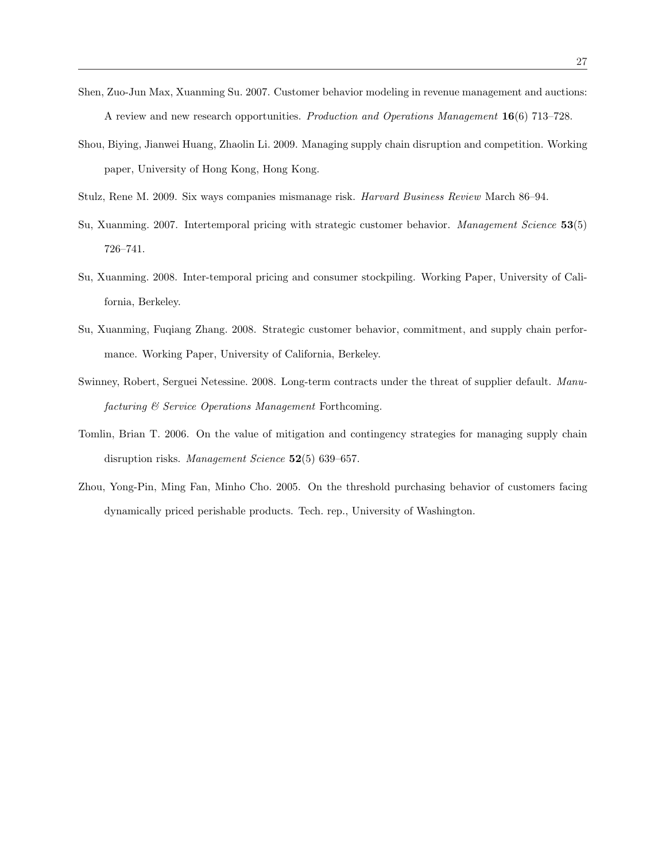- Shen, Zuo-Jun Max, Xuanming Su. 2007. Customer behavior modeling in revenue management and auctions: A review and new research opportunities. Production and Operations Management 16(6) 713–728.
- Shou, Biying, Jianwei Huang, Zhaolin Li. 2009. Managing supply chain disruption and competition. Working paper, University of Hong Kong, Hong Kong.
- Stulz, Rene M. 2009. Six ways companies mismanage risk. Harvard Business Review March 86–94.
- Su, Xuanming. 2007. Intertemporal pricing with strategic customer behavior. Management Science 53(5) 726–741.
- Su, Xuanming. 2008. Inter-temporal pricing and consumer stockpiling. Working Paper, University of California, Berkeley.
- Su, Xuanming, Fuqiang Zhang. 2008. Strategic customer behavior, commitment, and supply chain performance. Working Paper, University of California, Berkeley.
- Swinney, Robert, Serguei Netessine. 2008. Long-term contracts under the threat of supplier default. Manufacturing & Service Operations Management Forthcoming.
- Tomlin, Brian T. 2006. On the value of mitigation and contingency strategies for managing supply chain disruption risks. Management Science 52(5) 639–657.
- Zhou, Yong-Pin, Ming Fan, Minho Cho. 2005. On the threshold purchasing behavior of customers facing dynamically priced perishable products. Tech. rep., University of Washington.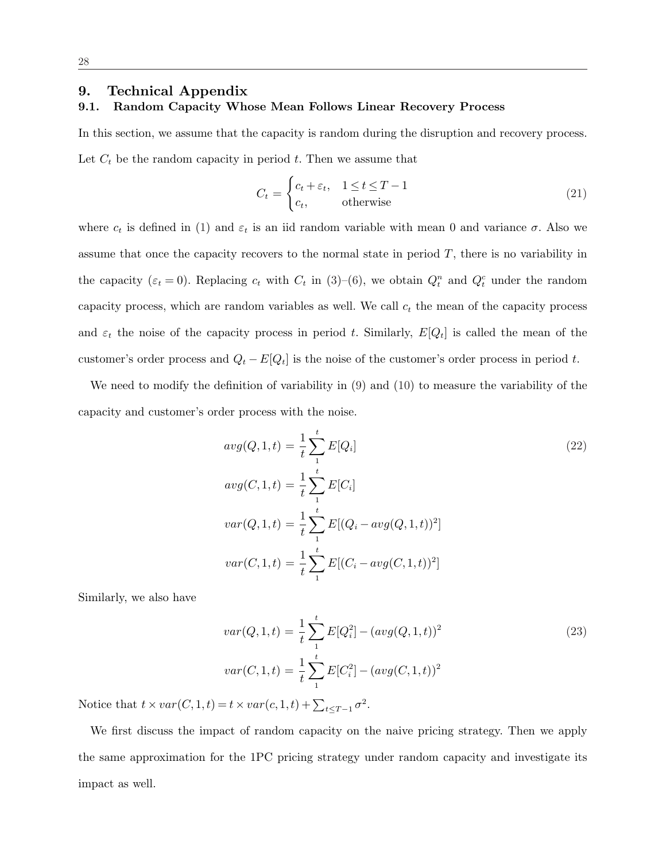# 9. Technical Appendix

# 9.1. Random Capacity Whose Mean Follows Linear Recovery Process

In this section, we assume that the capacity is random during the disruption and recovery process. Let  $C_t$  be the random capacity in period t. Then we assume that

$$
C_t = \begin{cases} c_t + \varepsilon_t, & 1 \le t \le T - 1 \\ c_t, & \text{otherwise} \end{cases}
$$
 (21)

where  $c_t$  is defined in (1) and  $\varepsilon_t$  is an iid random variable with mean 0 and variance  $\sigma$ . Also we assume that once the capacity recovers to the normal state in period  $T$ , there is no variability in the capacity ( $\varepsilon_t = 0$ ). Replacing  $c_t$  with  $C_t$  in (3)–(6), we obtain  $Q_t^n$  and  $Q_t^c$  under the random capacity process, which are random variables as well. We call  $c_t$  the mean of the capacity process and  $\varepsilon_t$  the noise of the capacity process in period t. Similarly,  $E[Q_t]$  is called the mean of the customer's order process and  $Q_t - E[Q_t]$  is the noise of the customer's order process in period t.

We need to modify the definition of variability in (9) and (10) to measure the variability of the capacity and customer's order process with the noise.

$$
avg(Q, 1, t) = \frac{1}{t} \sum_{1}^{t} E[Q_i]
$$
  
\n
$$
avg(C, 1, t) = \frac{1}{t} \sum_{1}^{t} E[C_i]
$$
  
\n
$$
var(Q, 1, t) = \frac{1}{t} \sum_{1}^{t} E[(Q_i - avg(Q, 1, t))^2]
$$
  
\n
$$
var(C, 1, t) = \frac{1}{t} \sum_{1}^{t} E[(C_i - avg(C, 1, t))^2]
$$

Similarly, we also have

$$
var(Q, 1, t) = \frac{1}{t} \sum_{1}^{t} E[Q_i^2] - (avg(Q, 1, t))^2
$$
  

$$
var(C, 1, t) = \frac{1}{t} \sum_{1}^{t} E[C_i^2] - (avg(C, 1, t))^2
$$
 (23)

Notice that  $t \times var(C, 1, t) = t \times var(c, 1, t) + \sum_{t \leq T-1} \sigma^2$ .

We first discuss the impact of random capacity on the naive pricing strategy. Then we apply the same approximation for the 1PC pricing strategy under random capacity and investigate its impact as well.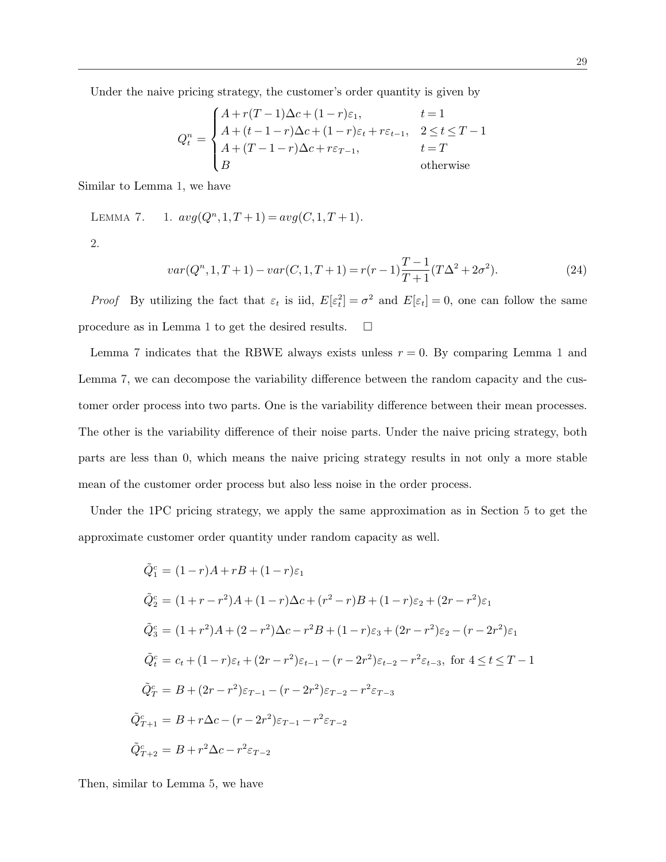Under the naive pricing strategy, the customer's order quantity is given by

$$
Q_t^n = \begin{cases} A + r(T-1)\Delta c + (1-r)\varepsilon_1, & t = 1\\ A + (t-1-r)\Delta c + (1-r)\varepsilon_t + r\varepsilon_{t-1}, & 2 \le t \le T-1\\ A + (T-1-r)\Delta c + r\varepsilon_{T-1}, & t = T\\ B & \text{otherwise} \end{cases}
$$

Similar to Lemma 1, we have

LEMMA 7. 1.  $avg(Q^n, 1, T+1) = avg(C, 1, T+1)$ . 2.

$$
var(Q^n, 1, T+1) - var(C, 1, T+1) = r(r-1)\frac{T-1}{T+1}(T\Delta^2 + 2\sigma^2).
$$
\n(24)

*Proof* By utilizing the fact that  $\varepsilon_t$  is iid,  $E[\varepsilon_t^2] = \sigma^2$  and  $E[\varepsilon_t] = 0$ , one can follow the same procedure as in Lemma 1 to get the desired results.  $\Box$ 

Lemma 7 indicates that the RBWE always exists unless  $r = 0$ . By comparing Lemma 1 and Lemma 7, we can decompose the variability difference between the random capacity and the customer order process into two parts. One is the variability difference between their mean processes. The other is the variability difference of their noise parts. Under the naive pricing strategy, both parts are less than 0, which means the naive pricing strategy results in not only a more stable mean of the customer order process but also less noise in the order process.

Under the 1PC pricing strategy, we apply the same approximation as in Section 5 to get the approximate customer order quantity under random capacity as well.

$$
\tilde{Q}_1^c = (1 - r)A + rB + (1 - r)\varepsilon_1
$$
\n
$$
\tilde{Q}_2^c = (1 + r - r^2)A + (1 - r)\Delta c + (r^2 - r)B + (1 - r)\varepsilon_2 + (2r - r^2)\varepsilon_1
$$
\n
$$
\tilde{Q}_3^c = (1 + r^2)A + (2 - r^2)\Delta c - r^2B + (1 - r)\varepsilon_3 + (2r - r^2)\varepsilon_2 - (r - 2r^2)\varepsilon_1
$$
\n
$$
\tilde{Q}_t^c = c_t + (1 - r)\varepsilon_t + (2r - r^2)\varepsilon_{t-1} - (r - 2r^2)\varepsilon_{t-2} - r^2\varepsilon_{t-3}, \text{ for } 4 \le t \le T - 1
$$
\n
$$
\tilde{Q}_T^c = B + (2r - r^2)\varepsilon_{T-1} - (r - 2r^2)\varepsilon_{T-2} - r^2\varepsilon_{T-3}
$$
\n
$$
\tilde{Q}_{T+1}^c = B + r\Delta c - (r - 2r^2)\varepsilon_{T-1} - r^2\varepsilon_{T-2}
$$
\n
$$
\tilde{Q}_{T+2}^c = B + r^2\Delta c - r^2\varepsilon_{T-2}
$$

Then, similar to Lemma 5, we have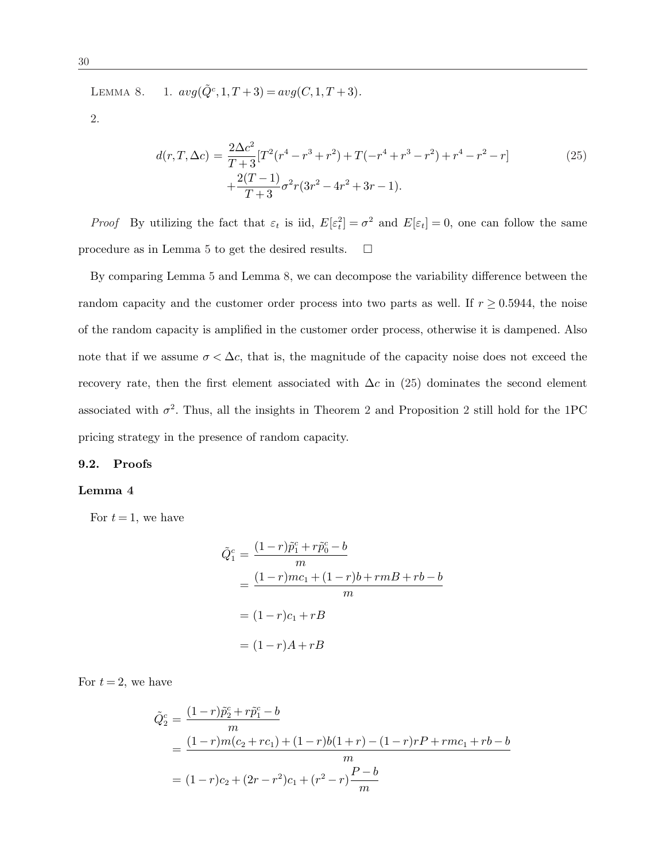LEMMA 8. 1.  $avg(\tilde{Q}^c, 1, T+3) = avg(C, 1, T+3)$ .

2.

$$
d(r,T,\Delta c) = \frac{2\Delta c^2}{T+3} [T^2(r^4 - r^3 + r^2) + T(-r^4 + r^3 - r^2) + r^4 - r^2 - r] + \frac{2(T-1)}{T+3} \sigma^2 r (3r^2 - 4r^2 + 3r - 1).
$$
 (25)

*Proof* By utilizing the fact that  $\varepsilon_t$  is iid,  $E[\varepsilon_t^2] = \sigma^2$  and  $E[\varepsilon_t] = 0$ , one can follow the same procedure as in Lemma 5 to get the desired results.  $\Box$ 

By comparing Lemma 5 and Lemma 8, we can decompose the variability difference between the random capacity and the customer order process into two parts as well. If  $r \geq 0.5944$ , the noise of the random capacity is amplified in the customer order process, otherwise it is dampened. Also note that if we assume  $\sigma < \Delta c$ , that is, the magnitude of the capacity noise does not exceed the recovery rate, then the first element associated with  $\Delta c$  in (25) dominates the second element associated with  $\sigma^2$ . Thus, all the insights in Theorem 2 and Proposition 2 still hold for the 1PC pricing strategy in the presence of random capacity.

#### 9.2. Proofs

#### Lemma 4

For  $t = 1$ , we have

$$
\tilde{Q}_1^c = \frac{(1-r)\tilde{p}_1^c + r\tilde{p}_0^c - b}{m} \n= \frac{(1-r)mc_1 + (1-r)b + rmB + rb - b}{m} \n= (1-r)c_1 + rB \n= (1-r)A + rB
$$

For  $t = 2$ , we have

$$
\tilde{Q}_2^c = \frac{(1-r)\tilde{p}_2^c + r\tilde{p}_1^c - b}{m}
$$
\n
$$
= \frac{(1-r)m(c_2 + rc_1) + (1-r)b(1+r) - (1-r)rP + rmc_1 + rb - b}{m}
$$
\n
$$
= (1-r)c_2 + (2r - r^2)c_1 + (r^2 - r)\frac{P - b}{m}
$$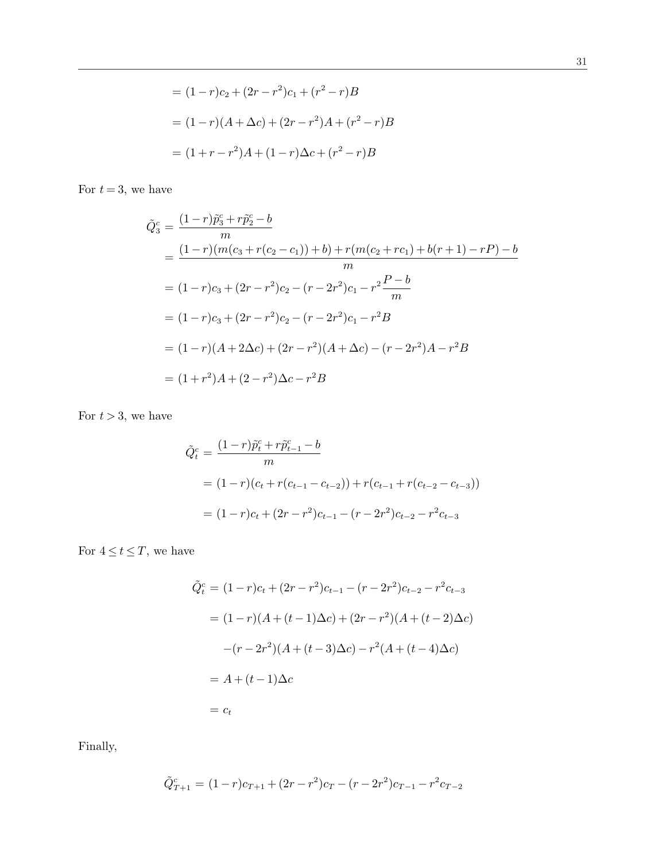$$
= (1 - r)c_2 + (2r - r^2)c_1 + (r^2 - r)B
$$

$$
= (1 - r)(A + \Delta c) + (2r - r^2)A + (r^2 - r)B
$$

$$
= (1 + r - r^2)A + (1 - r)\Delta c + (r^2 - r)B
$$

For  $t = 3$ , we have

$$
\tilde{Q}_3^c = \frac{(1-r)\tilde{p}_3^c + r\tilde{p}_2^c - b}{m}
$$
\n
$$
= \frac{(1-r)(m(c_3 + r(c_2 - c_1)) + b) + r(m(c_2 + rc_1) + b(r + 1) - rP) - b}{m}
$$
\n
$$
= (1-r)c_3 + (2r - r^2)c_2 - (r - 2r^2)c_1 - r^2\frac{P - b}{m}
$$
\n
$$
= (1-r)c_3 + (2r - r^2)c_2 - (r - 2r^2)c_1 - r^2B
$$
\n
$$
= (1-r)(A + 2\Delta c) + (2r - r^2)(A + \Delta c) - (r - 2r^2)A - r^2B
$$
\n
$$
= (1 + r^2)A + (2 - r^2)\Delta c - r^2B
$$

For  $t > 3$ , we have

$$
\tilde{Q}_t^c = \frac{(1-r)\tilde{p}_t^c + r\tilde{p}_{t-1}^c - b}{m}
$$
\n
$$
= (1-r)(c_t + r(c_{t-1} - c_{t-2})) + r(c_{t-1} + r(c_{t-2} - c_{t-3}))
$$
\n
$$
= (1-r)c_t + (2r - r^2)c_{t-1} - (r - 2r^2)c_{t-2} - r^2c_{t-3}
$$

For  $4 \le t \le T$ , we have

$$
\tilde{Q}_t^c = (1 - r)c_t + (2r - r^2)c_{t-1} - (r - 2r^2)c_{t-2} - r^2c_{t-3}
$$

$$
= (1 - r)(A + (t - 1)\Delta c) + (2r - r^2)(A + (t - 2)\Delta c)
$$

$$
- (r - 2r^2)(A + (t - 3)\Delta c) - r^2(A + (t - 4)\Delta c)
$$

$$
= A + (t - 1)\Delta c
$$

$$
= c_t
$$

Finally,

$$
\tilde{Q}_{T+1}^c=(1-r)c_{T+1}+(2r-r^2)c_T-(r-2r^2)c_{T-1}-r^2c_{T-2}
$$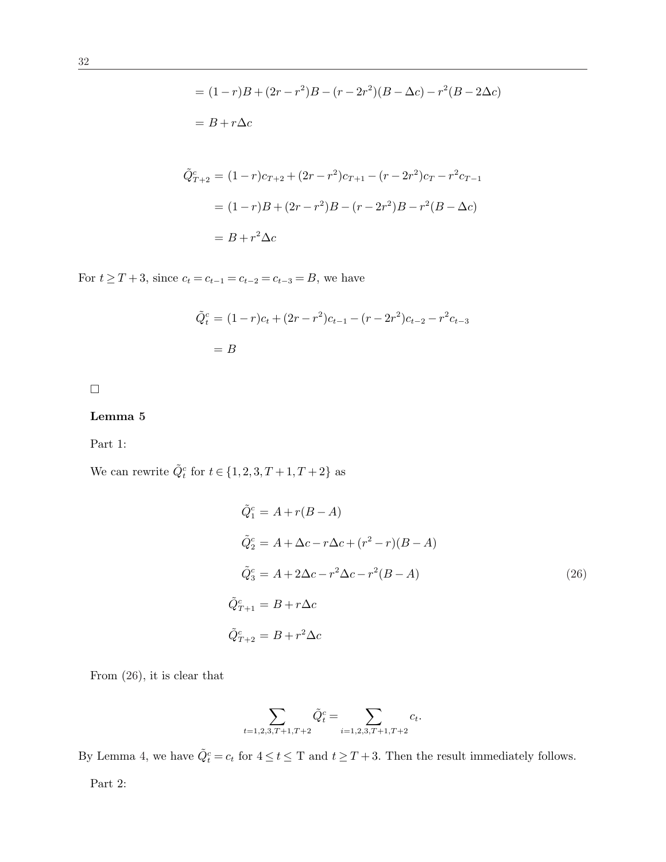$$
= (1-r)B + (2r - r^2)B - (r - 2r^2)(B - \Delta c) - r^2(B - 2\Delta c)
$$
  
\n
$$
= B + r\Delta c
$$
  
\n
$$
\tilde{Q}_{T+2}^c = (1-r)c_{T+2} + (2r - r^2)c_{T+1} - (r - 2r^2)c_T - r^2c_{T-1}
$$
  
\n
$$
= (1-r)B + (2r - r^2)B - (r - 2r^2)B - r^2(B - \Delta c)
$$
  
\n
$$
= B + r^2 \Delta c
$$

For  $t \geq T + 3$ , since  $c_t = c_{t-1} = c_{t-2} = c_{t-3} = B$ , we have

$$
\tilde{Q}_t^c = (1 - r)c_t + (2r - r^2)c_{t-1} - (r - 2r^2)c_{t-2} - r^2c_{t-3}
$$

$$
= B
$$

 $\hfill\square$ 

# Lemma 5

Part 1:

We can rewrite  $\tilde{Q}_t^c$  for  $t \in \{1, 2, 3, T + 1, T + 2\}$  as

$$
\tilde{Q}_1^c = A + r(B - A)
$$
  
\n
$$
\tilde{Q}_2^c = A + \Delta c - r\Delta c + (r^2 - r)(B - A)
$$
  
\n
$$
\tilde{Q}_3^c = A + 2\Delta c - r^2\Delta c - r^2(B - A)
$$
  
\n
$$
\tilde{Q}_{T+1}^c = B + r\Delta c
$$
  
\n
$$
\tilde{Q}_{T+2}^c = B + r^2\Delta c
$$
\n(26)

From (26), it is clear that

$$
\sum_{t=1,2,3,T+1,T+2} \tilde{Q}_t^c = \sum_{i=1,2,3,T+1,T+2} c_t.
$$

By Lemma 4, we have  $\tilde{Q}_t^c = c_t$  for  $4 \le t \le T$  and  $t \ge T + 3$ . Then the result immediately follows.

Part 2: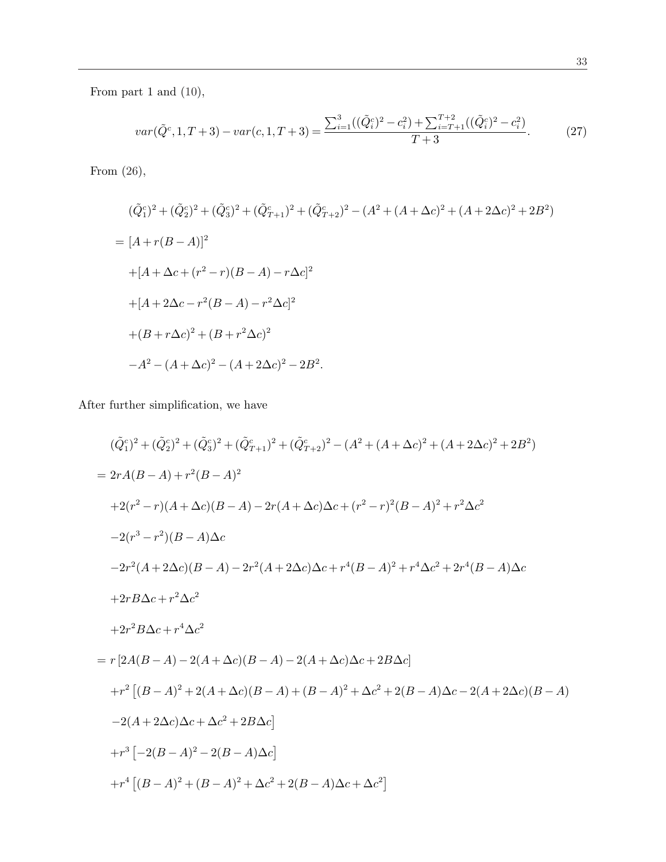From part 1 and (10),

$$
var(\tilde{Q}^c, 1, T+3) - var(c, 1, T+3) = \frac{\sum_{i=1}^3 ((\tilde{Q}_i^c)^2 - c_i^2) + \sum_{i=T+1}^{T+2} ((\tilde{Q}_i^c)^2 - c_i^2)}{T+3}.
$$
 (27)

From (26),

$$
(\tilde{Q}_1^c)^2 + (\tilde{Q}_2^c)^2 + (\tilde{Q}_3^c)^2 + (\tilde{Q}_{T+1}^c)^2 + (\tilde{Q}_{T+2}^c)^2 - (A^2 + (A + \Delta c)^2 + (A + 2\Delta c)^2 + 2B^2)
$$
  
= 
$$
[A + r(B - A)]^2
$$
  
+ 
$$
[A + \Delta c + (r^2 - r)(B - A) - r\Delta c]^2
$$
  
+ 
$$
[A + 2\Delta c - r^2(B - A) - r^2\Delta c]^2
$$
  
+ 
$$
(B + r\Delta c)^2 + (B + r^2\Delta c)^2
$$
  
- 
$$
A^2 - (A + \Delta c)^2 - (A + 2\Delta c)^2 - 2B^2.
$$

After further simplification, we have

$$
(\tilde{Q}_{1}^{c})^{2} + (\tilde{Q}_{2}^{c})^{2} + (\tilde{Q}_{3}^{c})^{2} + (\tilde{Q}_{T+1}^{c})^{2} + (\tilde{Q}_{T+2}^{c})^{2} - (A^{2} + (A + \Delta c)^{2} + (A + 2\Delta c)^{2} + 2B^{2})
$$
  
\n
$$
= 2rA(B - A) + r^{2}(B - A)^{2}
$$
  
\n
$$
+2(r^{2} - r)(A + \Delta c)(B - A) - 2r(A + \Delta c)\Delta c + (r^{2} - r)^{2}(B - A)^{2} + r^{2}\Delta c^{2}
$$
  
\n
$$
-2(r^{3} - r^{2})(B - A)\Delta c
$$
  
\n
$$
-2r^{2}(A + 2\Delta c)(B - A) - 2r^{2}(A + 2\Delta c)\Delta c + r^{4}(B - A)^{2} + r^{4}\Delta c^{2} + 2r^{4}(B - A)\Delta c
$$
  
\n
$$
+2rB\Delta c + r^{2}\Delta c^{2}
$$
  
\n
$$
+2r^{2}B\Delta c + r^{4}\Delta c^{2}
$$
  
\n
$$
= r[2A(B - A) - 2(A + \Delta c)(B - A) - 2(A + \Delta c)\Delta c + 2B\Delta c]
$$
  
\n
$$
+r^{2}[(B - A)^{2} + 2(A + \Delta c)(B - A) + (B - A)^{2} + \Delta c^{2} + 2(B - A)\Delta c - 2(A + 2\Delta c)(B - A)
$$
  
\n
$$
-2(A + 2\Delta c)\Delta c + \Delta c^{2} + 2B\Delta c]
$$
  
\n
$$
+r^{3}[-2(B - A)^{2} - 2(B - A)\Delta c]
$$
  
\n
$$
+r^{4}[(B - A)^{2} + (B - A)^{2} + \Delta c^{2} + 2(B - A)\Delta c + \Delta c^{2}]
$$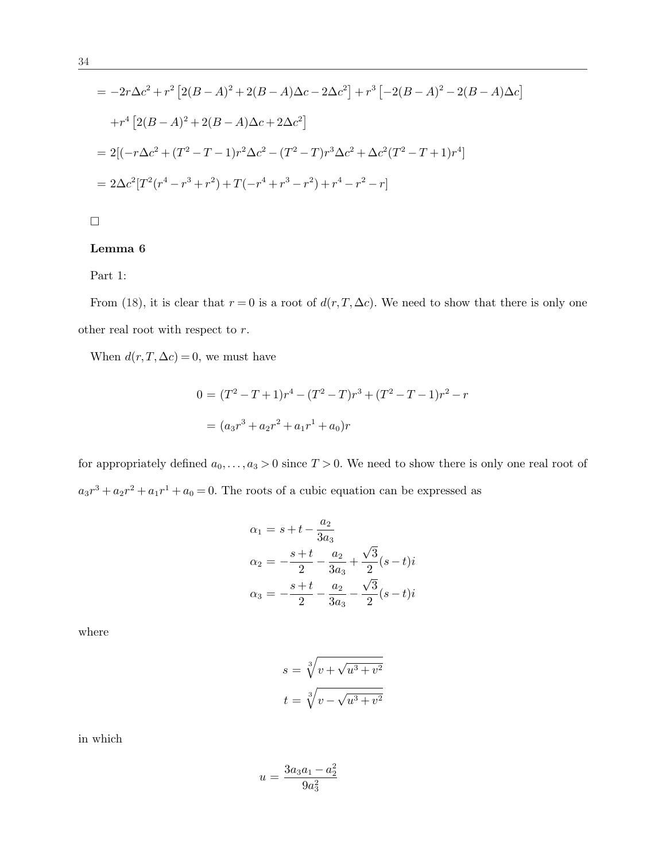$$
= -2r\Delta c^2 + r^2 \left[ 2(B-A)^2 + 2(B-A)\Delta c - 2\Delta c^2 \right] + r^3 \left[ -2(B-A)^2 - 2(B-A)\Delta c \right]
$$
  
+  $r^4 \left[ 2(B-A)^2 + 2(B-A)\Delta c + 2\Delta c^2 \right]$   
=  $2[(-r\Delta c^2 + (T^2 - T - 1)r^2\Delta c^2 - (T^2 - T)r^3\Delta c^2 + \Delta c^2(T^2 - T + 1)r^4]$   
=  $2\Delta c^2 [T^2(r^4 - r^3 + r^2) + T(-r^4 + r^3 - r^2) + r^4 - r^2 - r]$ 

 $\Box$ 

# Lemma 6

Part 1:

From (18), it is clear that  $r = 0$  is a root of  $d(r, T, \Delta c)$ . We need to show that there is only one other real root with respect to r.

When  $d(r, T, \Delta c) = 0$ , we must have

$$
0 = (T2 - T + 1)r4 - (T2 - T)r3 + (T2 - T - 1)r2 - r
$$

$$
= (a3r3 + a2r2 + a1r1 + a0)r
$$

for appropriately defined  $a_0, \ldots, a_3 > 0$  since  $T > 0$ . We need to show there is only one real root of  $a_3r^3 + a_2r^2 + a_1r^1 + a_0 = 0$ . The roots of a cubic equation can be expressed as

$$
\alpha_1 = s + t - \frac{a_2}{3a_3}
$$
  
\n
$$
\alpha_2 = -\frac{s+t}{2} - \frac{a_2}{3a_3} + \frac{\sqrt{3}}{2}(s-t)i
$$
  
\n
$$
\alpha_3 = -\frac{s+t}{2} - \frac{a_2}{3a_3} - \frac{\sqrt{3}}{2}(s-t)i
$$

where

$$
s = \sqrt[3]{v + \sqrt{u^3 + v^2}}
$$

$$
t = \sqrt[3]{v - \sqrt{u^3 + v^2}}
$$

in which

$$
u = \frac{3a_3a_1 - a_2^2}{9a_3^2}
$$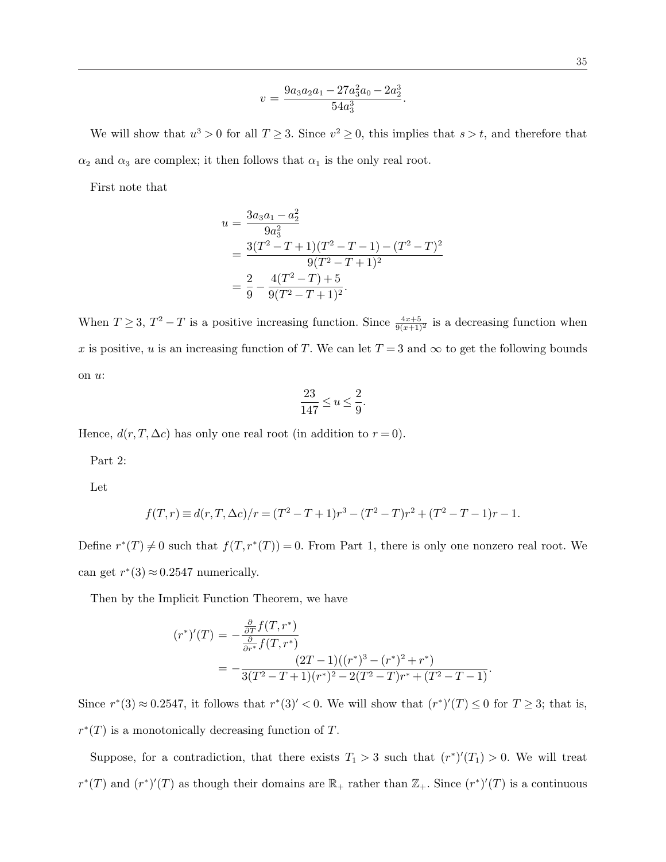$$
v = \frac{9a_3a_2a_1 - 27a_3a_0 - 2a_2^3}{54a_3^3}.
$$

We will show that  $u^3 > 0$  for all  $T \geq 3$ . Since  $v^2 \geq 0$ , this implies that  $s > t$ , and therefore that  $\alpha_2$  and  $\alpha_3$  are complex; it then follows that  $\alpha_1$  is the only real root.

First note that

$$
u = \frac{3a_3a_1 - a_2^2}{9a_3^2}
$$
  
= 
$$
\frac{3(T^2 - T + 1)(T^2 - T - 1) - (T^2 - T)^2}{9(T^2 - T + 1)^2}
$$
  
= 
$$
\frac{2}{9} - \frac{4(T^2 - T) + 5}{9(T^2 - T + 1)^2}.
$$

When  $T \geq 3$ ,  $T^2 - T$  is a positive increasing function. Since  $\frac{4x+5}{9(x+1)^2}$  is a decreasing function when x is positive, u is an increasing function of T. We can let  $T = 3$  and  $\infty$  to get the following bounds on u:

$$
\frac{23}{147}\leq u\leq \frac{2}{9}.
$$

Hence,  $d(r, T, \Delta c)$  has only one real root (in addition to  $r = 0$ ).

Part 2:

Let

$$
f(T,r) \equiv d(r,T,\Delta c)/r = (T^2 - T + 1)r^3 - (T^2 - T)r^2 + (T^2 - T - 1)r - 1.
$$

Define  $r^*(T) \neq 0$  such that  $f(T, r^*(T)) = 0$ . From Part 1, there is only one nonzero real root. We can get  $r^*(3) \approx 0.2547$  numerically.

Then by the Implicit Function Theorem, we have

$$
(r^*)'(T) = -\frac{\frac{\partial}{\partial T} f(T, r^*)}{\frac{\partial}{\partial r^*} f(T, r^*)}
$$
  
= 
$$
-\frac{(2T-1)((r^*)^3 - (r^*)^2 + r^*)}{3(T^2 - T + 1)(r^*)^2 - 2(T^2 - T)r^* + (T^2 - T - 1)}.
$$

Since  $r^*(3) \approx 0.2547$ , it follows that  $r^*(3)' < 0$ . We will show that  $(r^*)'(T) \leq 0$  for  $T \geq 3$ ; that is,  $r^*(T)$  is a monotonically decreasing function of T.

Suppose, for a contradiction, that there exists  $T_1 > 3$  such that  $(r^*)'(T_1) > 0$ . We will treat  $r^*(T)$  and  $(r^*)'(T)$  as though their domains are  $\mathbb{R}_+$  rather than  $\mathbb{Z}_+$ . Since  $(r^*)'(T)$  is a continuous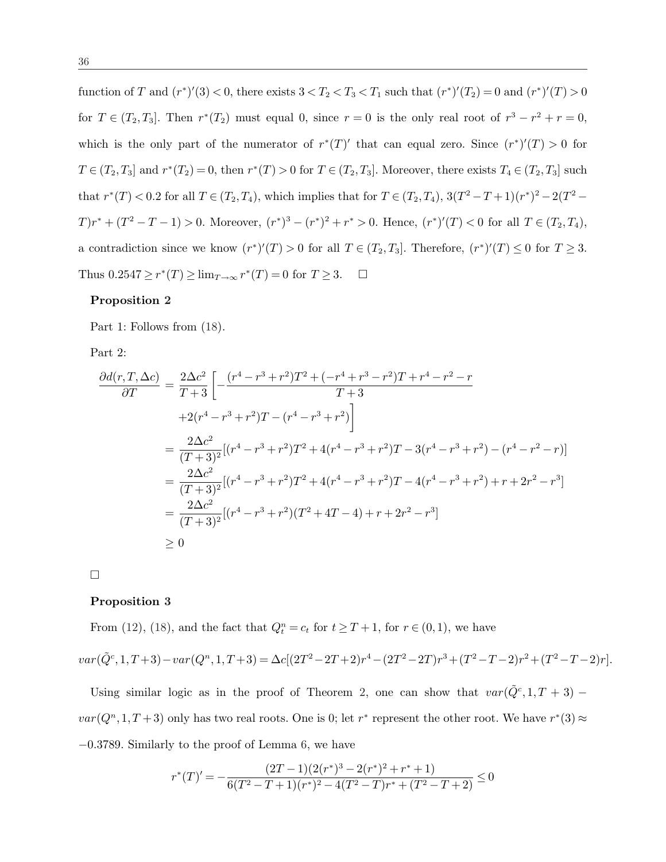function of T and  $(r^*)'(3) < 0$ , there exists  $3 < T_2 < T_3 < T_1$  such that  $(r^*)'(T_2) = 0$  and  $(r^*)'(T) > 0$ for  $T \in (T_2, T_3]$ . Then  $r^*(T_2)$  must equal 0, since  $r = 0$  is the only real root of  $r^3 - r^2 + r = 0$ , which is the only part of the numerator of  $r^*(T)'$  that can equal zero. Since  $(r^*)'(T) > 0$  for  $T \in (T_2, T_3]$  and  $r^*(T_2) = 0$ , then  $r^*(T) > 0$  for  $T \in (T_2, T_3]$ . Moreover, there exists  $T_4 \in (T_2, T_3]$  such that  $r^*(T) < 0.2$  for all  $T \in (T_2, T_4)$ , which implies that for  $T \in (T_2, T_4)$ ,  $3(T^2 - T + 1)(r^*)^2 - 2(T^2 - T + 1)(r^*)^2$  $T)r^* + (T^2 - T - 1) > 0$ . Moreover,  $(r^*)^3 - (r^*)^2 + r^* > 0$ . Hence,  $(r^*)'(T) < 0$  for all  $T \in (T_2, T_4)$ , a contradiction since we know  $(r^*)'(T) > 0$  for all  $T \in (T_2, T_3]$ . Therefore,  $(r^*)'(T) \leq 0$  for  $T \geq 3$ . Thus  $0.2547 \ge r^*(T) \ge \lim_{T \to \infty} r^*(T) = 0$  for  $T \ge 3$ .  $\Box$ 

#### Proposition 2

Part 1: Follows from  $(18)$ .

Part 2:

$$
\frac{\partial d(r,T,\Delta c)}{\partial T} = \frac{2\Delta c^2}{T+3} \left[ -\frac{(r^4 - r^3 + r^2)T^2 + (-r^4 + r^3 - r^2)T + r^4 - r^2 - r}{T+3} \right]
$$
  
\n
$$
+2(r^4 - r^3 + r^2)T - (r^4 - r^3 + r^2) \Big]
$$
  
\n
$$
= \frac{2\Delta c^2}{(T+3)^2} [(r^4 - r^3 + r^2)T^2 + 4(r^4 - r^3 + r^2)T - 3(r^4 - r^3 + r^2) - (r^4 - r^2 - r)]
$$
  
\n
$$
= \frac{2\Delta c^2}{(T+3)^2} [(r^4 - r^3 + r^2)T^2 + 4(r^4 - r^3 + r^2)T - 4(r^4 - r^3 + r^2) + r + 2r^2 - r^3]
$$
  
\n
$$
= \frac{2\Delta c^2}{(T+3)^2} [(r^4 - r^3 + r^2)(T^2 + 4T - 4) + r + 2r^2 - r^3]
$$
  
\n
$$
\geq 0
$$

¤

#### Proposition 3

From (12), (18), and the fact that  $Q_t^n = c_t$  for  $t \ge T + 1$ , for  $r \in (0,1)$ , we have

$$
var(\tilde{Q}^c, 1, T+3) - var(Q^r, 1, T+3) = \Delta c[(2T^2 - 2T + 2)r^4 - (2T^2 - 2T)r^3 + (T^2 - T - 2)r^2 + (T^2 - T - 2)r].
$$

Using similar logic as in the proof of Theorem 2, one can show that  $var(\tilde{Q}^c, 1, T+3)$  –  $var(Q<sup>n</sup>, 1, T+3)$  only has two real roots. One is 0; let  $r^*$  represent the other root. We have  $r^*(3) \approx$ −0.3789. Similarly to the proof of Lemma 6, we have

$$
r^*(T)' = -\frac{(2T-1)(2(r^*)^3 - 2(r^*)^2 + r^* + 1)}{6(T^2 - T + 1)(r^*)^2 - 4(T^2 - T)r^* + (T^2 - T + 2)} \le 0
$$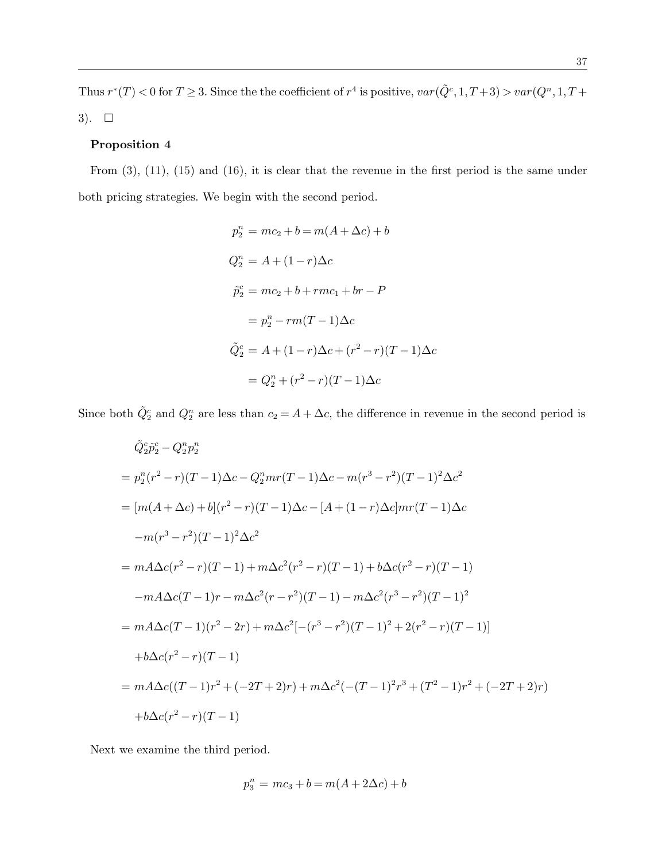Thus  $r^*(T) < 0$  for  $T \geq 3$ . Since the the coefficient of  $r^4$  is positive,  $var(\tilde{Q}^c, 1, T+3) > var(Q^n, 1, T+3)$  $3)$ .  $\square$ 

# Proposition 4

From (3), (11), (15) and (16), it is clear that the revenue in the first period is the same under both pricing strategies. We begin with the second period.

$$
p_2^n = mc_2 + b = m(A + \Delta c) + b
$$
  
\n
$$
Q_2^n = A + (1 - r)\Delta c
$$
  
\n
$$
\tilde{p}_2^n = mc_2 + b + rmc_1 + br - P
$$
  
\n
$$
= p_2^n - rm(T - 1)\Delta c
$$
  
\n
$$
\tilde{Q}_2^c = A + (1 - r)\Delta c + (r^2 - r)(T - 1)\Delta c
$$
  
\n
$$
= Q_2^n + (r^2 - r)(T - 1)\Delta c
$$

Since both  $\tilde{Q}_2^c$  and  $Q_2^n$  are less than  $c_2 = A + \Delta c$ , the difference in revenue in the second period is

$$
\tilde{Q}_{2}^{c}\tilde{p}_{2}^{c} - Q_{2}^{n}p_{2}^{n}
$$
\n
$$
= p_{2}^{n}(r^{2} - r)(T - 1)\Delta c - Q_{2}^{n}mr(T - 1)\Delta c - m(r^{3} - r^{2})(T - 1)^{2}\Delta c^{2}
$$
\n
$$
= [m(A + \Delta c) + b](r^{2} - r)(T - 1)\Delta c - [A + (1 - r)\Delta c]mr(T - 1)\Delta c
$$
\n
$$
-m(r^{3} - r^{2})(T - 1)^{2}\Delta c^{2}
$$
\n
$$
= mA\Delta c(r^{2} - r)(T - 1) + m\Delta c^{2}(r^{2} - r)(T - 1) + b\Delta c(r^{2} - r)(T - 1)
$$
\n
$$
-mA\Delta c(T - 1)r - m\Delta c^{2}(r - r^{2})(T - 1) - m\Delta c^{2}(r^{3} - r^{2})(T - 1)^{2}
$$
\n
$$
= mA\Delta c(T - 1)(r^{2} - 2r) + m\Delta c^{2}[-(r^{3} - r^{2})(T - 1)^{2} + 2(r^{2} - r)(T - 1)]
$$
\n
$$
+ b\Delta c(r^{2} - r)(T - 1)
$$
\n
$$
= mA\Delta c((T - 1)r^{2} + (-2T + 2)r) + m\Delta c^{2}(-(T - 1)^{2}r^{3} + (T^{2} - 1)r^{2} + (-2T + 2)r)
$$
\n
$$
+ b\Delta c(r^{2} - r)(T - 1)
$$

Next we examine the third period.

$$
p_3^n = mc_3 + b = m(A + 2\Delta c) + b
$$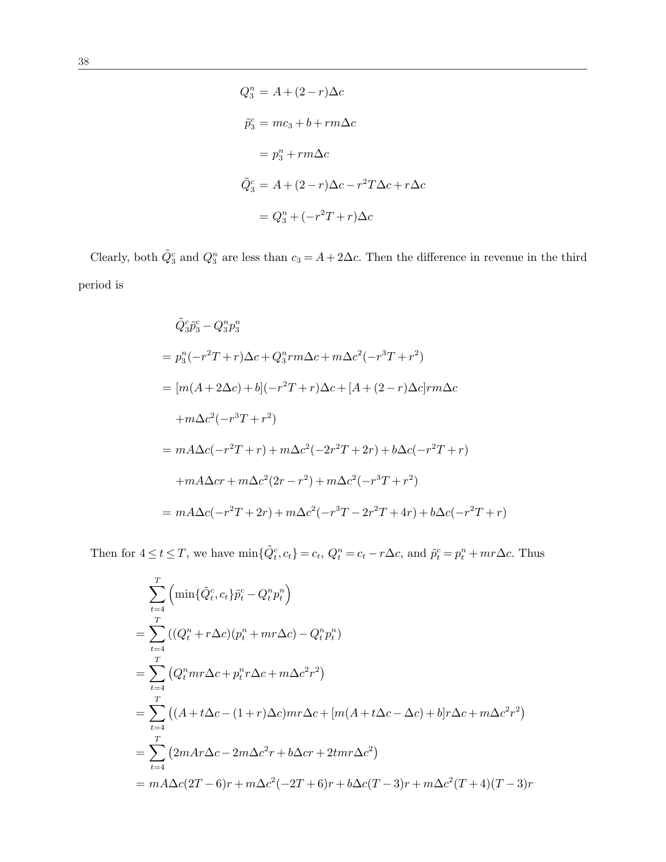$$
Q_3^n = A + (2 - r)\Delta c
$$
  
\n
$$
\tilde{p}_3^c = mc_3 + b + rm\Delta c
$$
  
\n
$$
= p_3^n + rm\Delta c
$$
  
\n
$$
\tilde{Q}_3^c = A + (2 - r)\Delta c - r^2 T \Delta c + r\Delta c
$$
  
\n
$$
= Q_3^n + (-r^2 T + r)\Delta c
$$

Clearly, both  $\tilde{Q}_3^c$  and  $Q_3^n$  are less than  $c_3 = A + 2\Delta c$ . Then the difference in revenue in the third period is

$$
\tilde{Q}_3^c \tilde{p}_3^c - Q_3^n p_3^n
$$
  
=  $p_3^n(-r^2T + r)\Delta c + Q_3^n r m \Delta c + m \Delta c^2(-r^3T + r^2)$   
=  $[m(A + 2\Delta c) + b](-r^2T + r)\Delta c + [A + (2 - r)\Delta c]r m \Delta c$   
 $+m\Delta c^2(-r^3T + r^2)$   
=  $mA\Delta c(-r^2T + r) + m\Delta c^2(-2r^2T + 2r) + b\Delta c(-r^2T + r)$   
 $+mA\Delta cr + m\Delta c^2(2r - r^2) + m\Delta c^2(-r^3T + r^2)$   
=  $mA\Delta c(-r^2T + 2r) + m\Delta c^2(-r^3T - 2r^2T + 4r) + b\Delta c(-r^2T + r)$ 

Then for  $4 \le t \le T$ , we have  $\min\{\tilde{Q}_t^c, c_t\} = c_t$ ,  $Q_t^n = c_t - r\Delta c$ , and  $\tilde{p}_t^c = p_t^n + mr\Delta c$ . Thus

$$
\sum_{t=4}^{T} \left( \min\{\tilde{Q}_t^c, c_t\} \tilde{p}_t^c - Q_t^n p_t^n \right)
$$
\n
$$
= \sum_{t=4}^{T} \left( (Q_t^n + r\Delta c)(p_t^n + mr\Delta c) - Q_t^n p_t^n \right)
$$
\n
$$
= \sum_{t=4}^{T} \left( Q_t^n mr\Delta c + p_t^n r\Delta c + m\Delta c^2 r^2 \right)
$$
\n
$$
= \sum_{t=4}^{T} \left( (A + t\Delta c - (1+r)\Delta c) mr\Delta c + [m(A + t\Delta c - \Delta c) + b] r\Delta c + m\Delta c^2 r^2 \right)
$$
\n
$$
= \sum_{t=4}^{T} \left( 2mAr\Delta c - 2m\Delta c^2 r + b\Delta cr + 2tmr\Delta c^2 \right)
$$
\n
$$
= mA\Delta c (2T - 6)r + m\Delta c^2 (-2T + 6)r + b\Delta c (T - 3)r + m\Delta c^2 (T + 4)(T - 3)r
$$